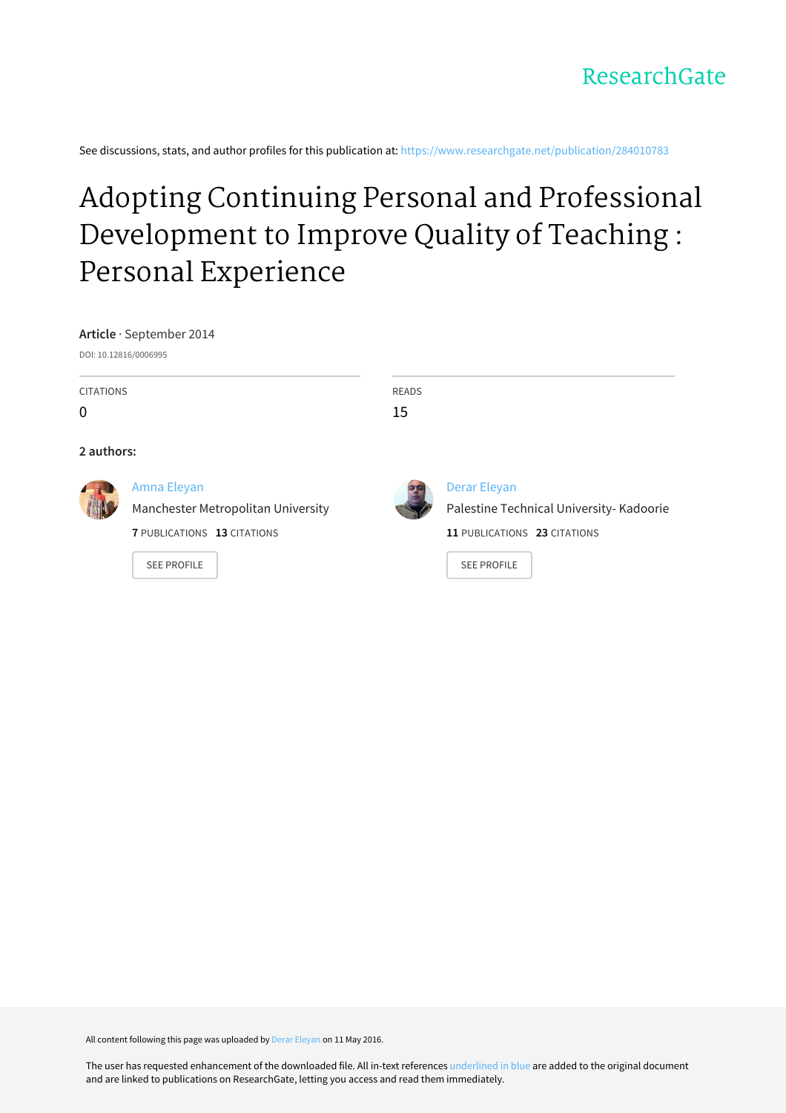See discussions, stats, and author profiles for this publication at: [https://www.researchgate.net/publication/284010783](https://www.researchgate.net/publication/284010783_Adopting_Continuing_Personal_and_Professional_Development_to_Improve_Quality_of_Teaching_Personal_Experience?enrichId=rgreq-bbc612a76a5df757fd4bfd461b0ac526-XXX&enrichSource=Y292ZXJQYWdlOzI4NDAxMDc4MztBUzozNjA1NDA0NTE5NTA1OTJAMTQ2Mjk3MDk1MDI0MA%3D%3D&el=1_x_2&_esc=publicationCoverPdf)

## Adopting Continuing Personal and Professional [Development](https://www.researchgate.net/publication/284010783_Adopting_Continuing_Personal_and_Professional_Development_to_Improve_Quality_of_Teaching_Personal_Experience?enrichId=rgreq-bbc612a76a5df757fd4bfd461b0ac526-XXX&enrichSource=Y292ZXJQYWdlOzI4NDAxMDc4MztBUzozNjA1NDA0NTE5NTA1OTJAMTQ2Mjk3MDk1MDI0MA%3D%3D&el=1_x_3&_esc=publicationCoverPdf) to Improve Quality of Teaching : Personal Experience

**Article** · September 2014

DOI: 10.12816/0006995

CITATIONS

 $\Omega$ 

#### **2 authors:**



#### Amna [Eleyan](https://www.researchgate.net/profile/Amna_Eleyan?enrichId=rgreq-bbc612a76a5df757fd4bfd461b0ac526-XXX&enrichSource=Y292ZXJQYWdlOzI4NDAxMDc4MztBUzozNjA1NDA0NTE5NTA1OTJAMTQ2Mjk3MDk1MDI0MA%3D%3D&el=1_x_5&_esc=publicationCoverPdf)

Manchester [Metropolitan](https://www.researchgate.net/institution/Manchester_Metropolitan_University?enrichId=rgreq-bbc612a76a5df757fd4bfd461b0ac526-XXX&enrichSource=Y292ZXJQYWdlOzI4NDAxMDc4MztBUzozNjA1NDA0NTE5NTA1OTJAMTQ2Mjk3MDk1MDI0MA%3D%3D&el=1_x_6&_esc=publicationCoverPdf) University

**7** PUBLICATIONS **13** CITATIONS

SEE [PROFILE](https://www.researchgate.net/profile/Amna_Eleyan?enrichId=rgreq-bbc612a76a5df757fd4bfd461b0ac526-XXX&enrichSource=Y292ZXJQYWdlOzI4NDAxMDc4MztBUzozNjA1NDA0NTE5NTA1OTJAMTQ2Mjk3MDk1MDI0MA%3D%3D&el=1_x_7&_esc=publicationCoverPdf)



READS 15

> Derar [Eleyan](https://www.researchgate.net/profile/Derar_Eleyan2?enrichId=rgreq-bbc612a76a5df757fd4bfd461b0ac526-XXX&enrichSource=Y292ZXJQYWdlOzI4NDAxMDc4MztBUzozNjA1NDA0NTE5NTA1OTJAMTQ2Mjk3MDk1MDI0MA%3D%3D&el=1_x_5&_esc=publicationCoverPdf) Palestine Technical [University-](https://www.researchgate.net/institution/Palestine_Technical_University-Kadoorie?enrichId=rgreq-bbc612a76a5df757fd4bfd461b0ac526-XXX&enrichSource=Y292ZXJQYWdlOzI4NDAxMDc4MztBUzozNjA1NDA0NTE5NTA1OTJAMTQ2Mjk3MDk1MDI0MA%3D%3D&el=1_x_6&_esc=publicationCoverPdf) Kadoorie **11** PUBLICATIONS **23** CITATIONS

SEE [PROFILE](https://www.researchgate.net/profile/Derar_Eleyan2?enrichId=rgreq-bbc612a76a5df757fd4bfd461b0ac526-XXX&enrichSource=Y292ZXJQYWdlOzI4NDAxMDc4MztBUzozNjA1NDA0NTE5NTA1OTJAMTQ2Mjk3MDk1MDI0MA%3D%3D&el=1_x_7&_esc=publicationCoverPdf)

All content following this page was uploaded by Derar [Eleyan](https://www.researchgate.net/profile/Derar_Eleyan2?enrichId=rgreq-bbc612a76a5df757fd4bfd461b0ac526-XXX&enrichSource=Y292ZXJQYWdlOzI4NDAxMDc4MztBUzozNjA1NDA0NTE5NTA1OTJAMTQ2Mjk3MDk1MDI0MA%3D%3D&el=1_x_10&_esc=publicationCoverPdf) on 11 May 2016.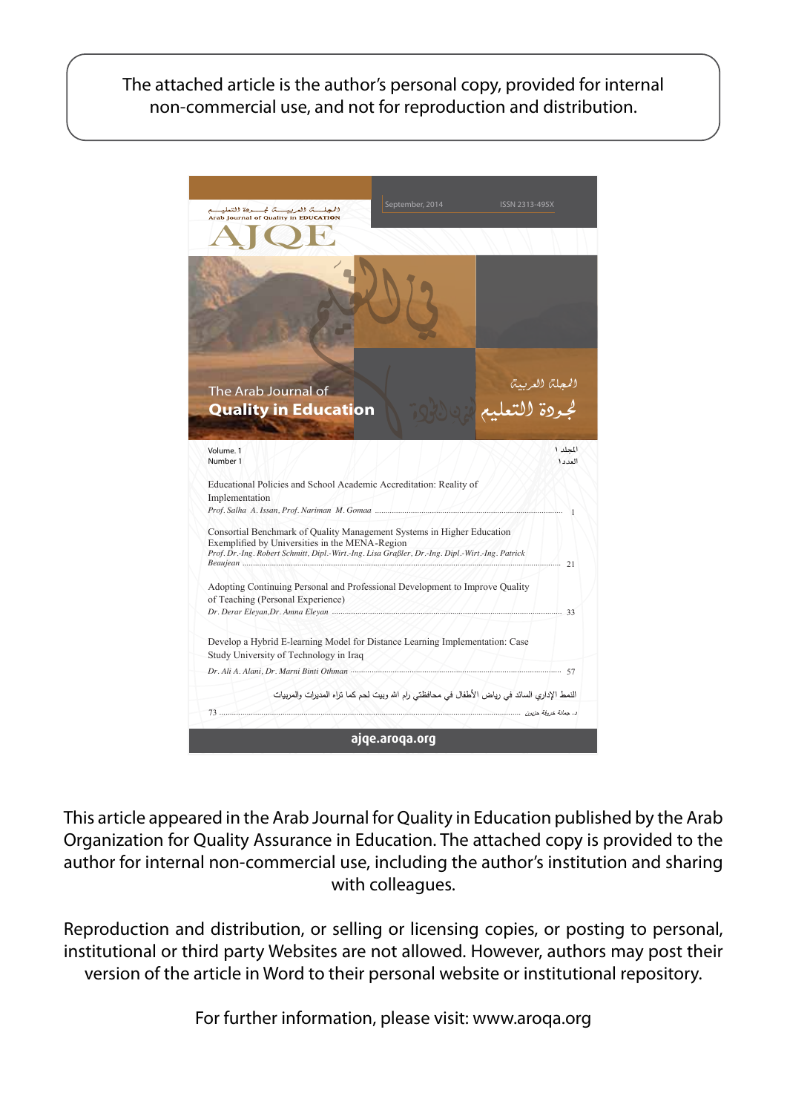The attached article is the author's personal copy, provided for internal non-commercial use, and not for reproduction and distribution.



This article appeared in the Arab Journal for Quality in Education published by the Arab Organization for Quality Assurance in Education. The attached copy is provided to the author for internal non-commercial use, including the author's institution and sharing with colleagues.

Reproduction and distribution, or selling or licensing copies, or posting to personal, institutional or third party Websites are not allowed. However, authors may post their version of the article in Word to their personal website or institutional repository.

For further information, please visit: www.aroqa.org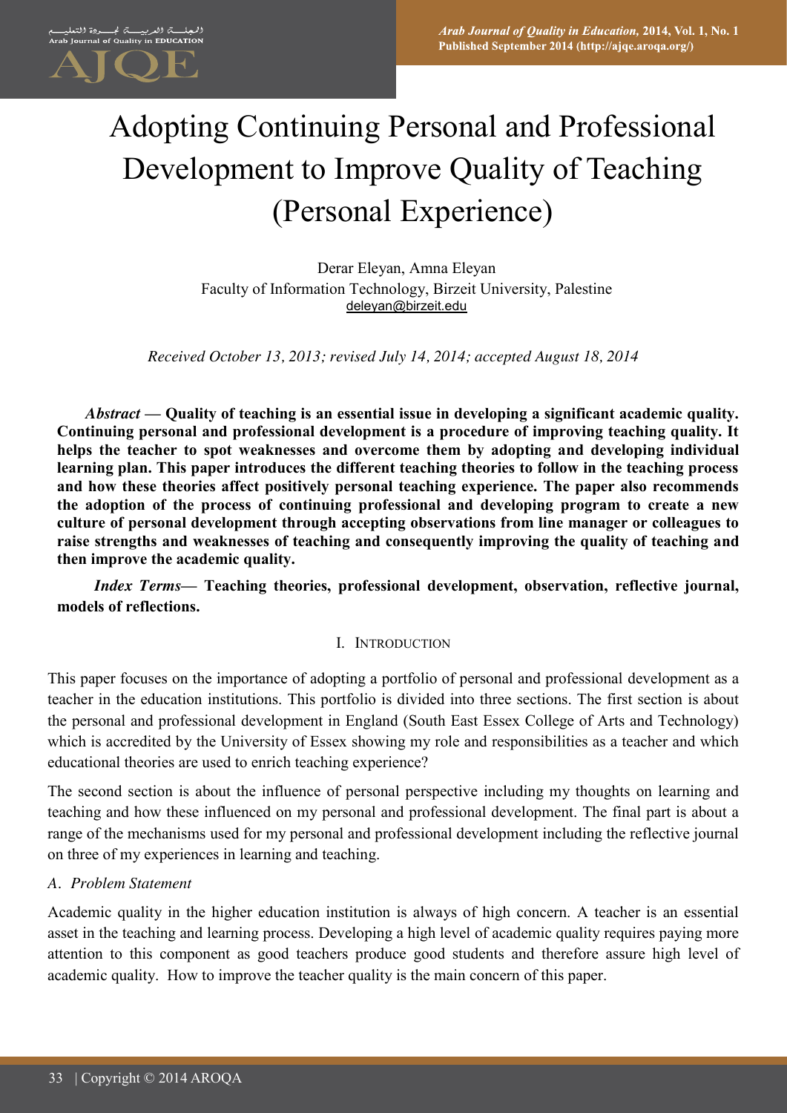# Adopting Continuing Personal and Professional Development to Improve Quality of Teaching (Personal Experience)

Derar Eleyan, Amna Eleyan Faculty of Information Technology, Birzeit University, Palestine deleyan@birzeit.edu

*Received October 13, 2013; revised July 14, 2014; accepted August 18, 2014*

*Abstract* **— Quality of teaching is an essential issue in developing a significant academic quality. Continuing personal and professional development is a procedure of improving teaching quality. It helps the teacher to spot weaknesses and overcome them by adopting and developing individual learning plan. This paper introduces the different teaching theories to follow in the teaching process and how these theories affect positively personal teaching experience. The paper also recommends the adoption of the process of continuing professional and developing program to create a new culture of personal development through accepting observations from line manager or colleagues to raise strengths and weaknesses of teaching and consequently improving the quality of teaching and then improve the academic quality.** 

*Index Terms***— Teaching theories, professional development, observation, reflective journal, models of reflections.**

#### I. INTRODUCTION

This paper focuses on the importance of adopting a portfolio of personal and professional development as a teacher in the education institutions. This portfolio is divided into three sections. The first section is about the personal and professional development in England (South East Essex College of Arts and Technology) which is accredited by the University of Essex showing my role and responsibilities as a teacher and which educational theories are used to enrich teaching experience?

The second section is about the influence of personal perspective including my thoughts on learning and teaching and how these influenced on my personal and professional development. The final part is about a range of the mechanisms used for my personal and professional development including the reflective journal on three of my experiences in learning and teaching.

#### *A. Problem Statement*

Academic quality in the higher education institution is always of high concern. A teacher is an essential asset in the teaching and learning process. Developing a high level of academic quality requires paying more attention to this component as good teachers produce good students and therefore assure high level of academic quality. How to improve the teacher quality is the main concern of this paper.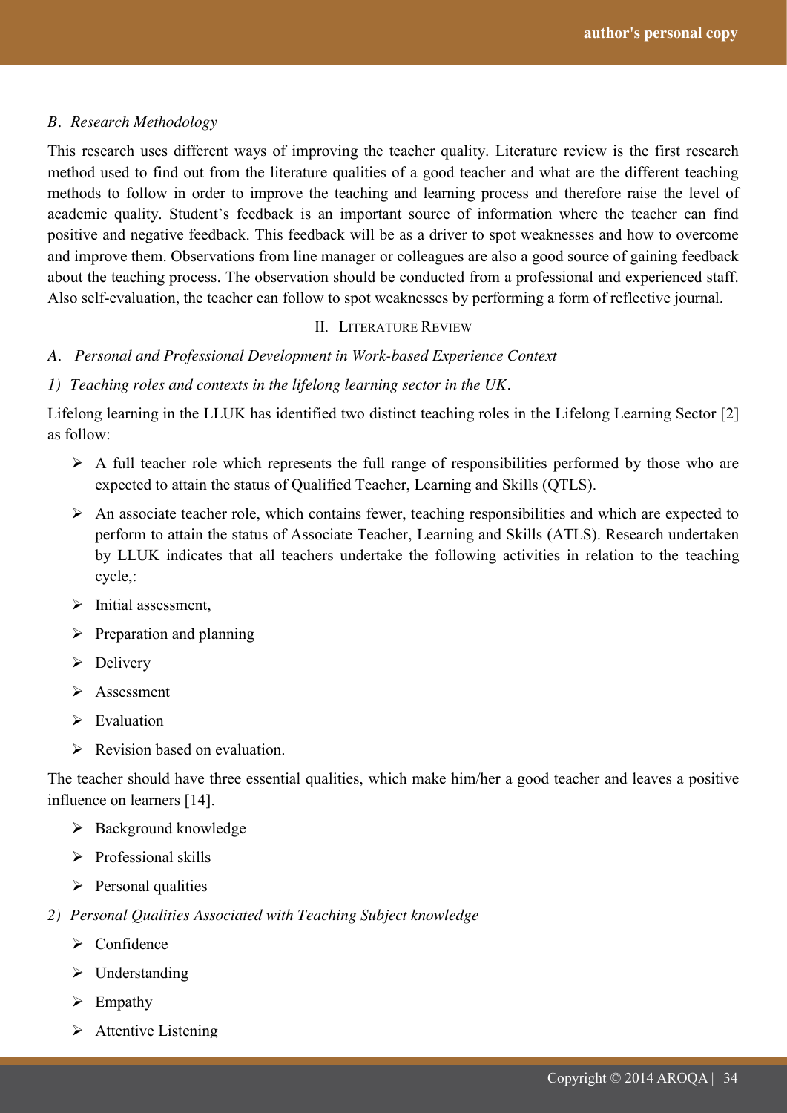#### *B. Research Methodology*

This research uses different ways of improving the teacher quality. Literature review is the first research method used to find out from the literature qualities of a good teacher and what are the different teaching methods to follow in order to improve the teaching and learning process and therefore raise the level of academic quality. Student's feedback is an important source of information where the teacher can find positive and negative feedback. This feedback will be as a driver to spot weaknesses and how to overcome and improve them. Observations from line manager or colleagues are also a good source of gaining feedback about the teaching process. The observation should be conducted from a professional and experienced staff. Also self-evaluation, the teacher can follow to spot weaknesses by performing a form of reflective journal.

#### II. LITERATURE REVIEW

*A. Personal and Professional Development in Work-based Experience Context*

#### *1) Teaching roles and contexts in the lifelong learning sector in the UK.*

Lifelong learning in the LLUK has identified two distinct teaching roles in the Lifelong Learning Sector [2] as follow:

- $\triangleright$  A full teacher role which represents the full range of responsibilities performed by those who are expected to attain the status of Qualified Teacher, Learning and Skills (QTLS).
- $\triangleright$  An associate teacher role, which contains fewer, teaching responsibilities and which are expected to perform to attain the status of Associate Teacher, Learning and Skills (ATLS). Research undertaken by LLUK indicates that all teachers undertake the following activities in relation to the teaching cycle,:
- $\triangleright$  Initial assessment.
- $\triangleright$  Preparation and planning
- $\triangleright$  Delivery
- > Assessment
- $\triangleright$  Evaluation
- $\triangleright$  Revision based on evaluation.

The teacher should have three essential qualities, which make him/her a good teacher and leaves a positive influence on learners [14].

- $\triangleright$  Background knowledge
- $\triangleright$  Professional skills
- $\triangleright$  Personal qualities
- *2) Personal Qualities Associated with Teaching Subject knowledge*
	- $\triangleright$  Confidence
	- $\triangleright$  Understanding
	- $\triangleright$  Empathy
	- $\triangleright$  Attentive Listening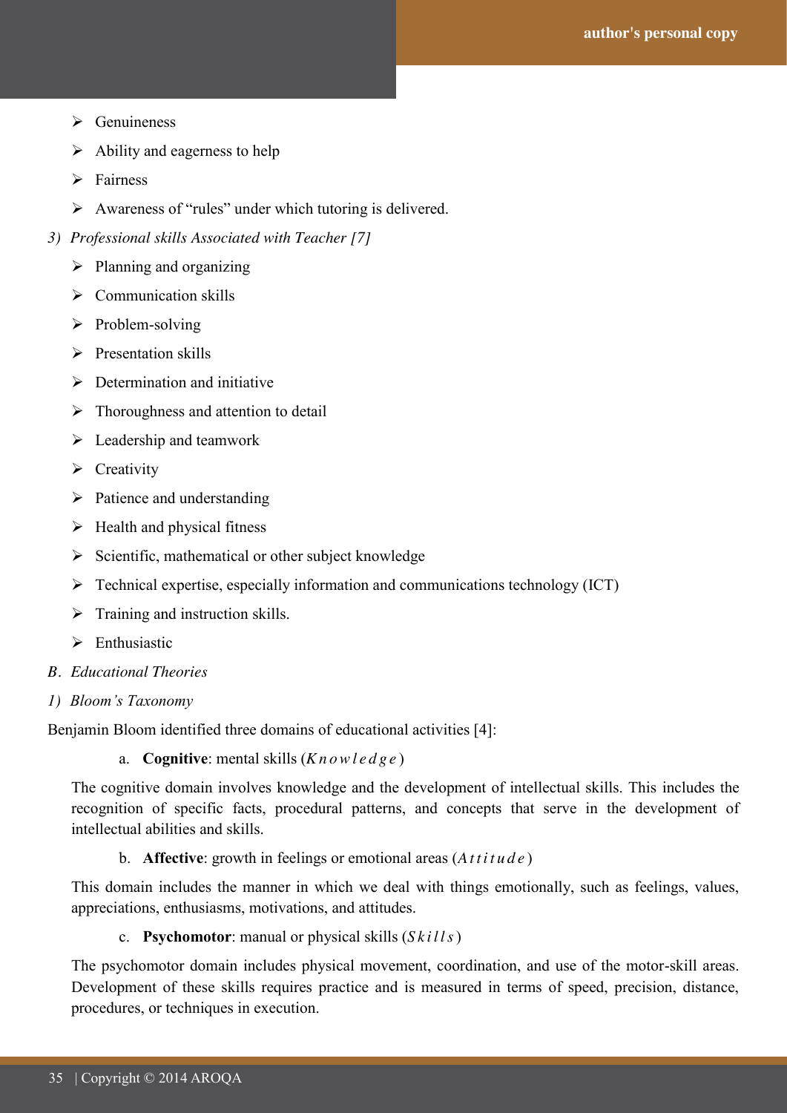- $\triangleright$  Genuineness
- $\triangleright$  Ability and eagerness to help
- $\triangleright$  Fairness
- Awareness of "rules" under which tutoring is delivered.
- *3) Professional skills Associated with Teacher [7]*
	- $\triangleright$  Planning and organizing
	- $\triangleright$  Communication skills
	- $\triangleright$  Problem-solving
	- $\triangleright$  Presentation skills
	- $\triangleright$  Determination and initiative
	- $\triangleright$  Thoroughness and attention to detail
	- $\triangleright$  Leadership and teamwork
	- $\triangleright$  Creativity
	- $\triangleright$  Patience and understanding
	- $\triangleright$  Health and physical fitness
	- $\triangleright$  Scientific, mathematical or other subject knowledge
	- Technical expertise, especially information and communications technology (ICT)
	- $\triangleright$  Training and instruction skills.
	- $\triangleright$  Enthusiastic
- *B. Educational Theories*
- *1) Bloom's Taxonomy*

Benjamin Bloom identified three domains of educational activities [4]:

a. **Cognitive**: mental skills (*Knowledge* )

The cognitive domain involves knowledge and the development of intellectual skills. This includes the recognition of specific facts, procedural patterns, and concepts that serve in the development of intellectual abilities and skills.

b. **Affective**: growth in feelings or emotional areas (*Attitude* )

This domain includes the manner in which we deal with things emotionally, such as feelings, values, appreciations, enthusiasms, motivations, and attitudes.

c. **Psychomotor**: manual or physical skills (*Skills*)

The psychomotor domain includes physical movement, coordination, and use of the motor-skill areas. Development of these skills requires practice and is measured in terms of speed, precision, distance, procedures, or techniques in execution.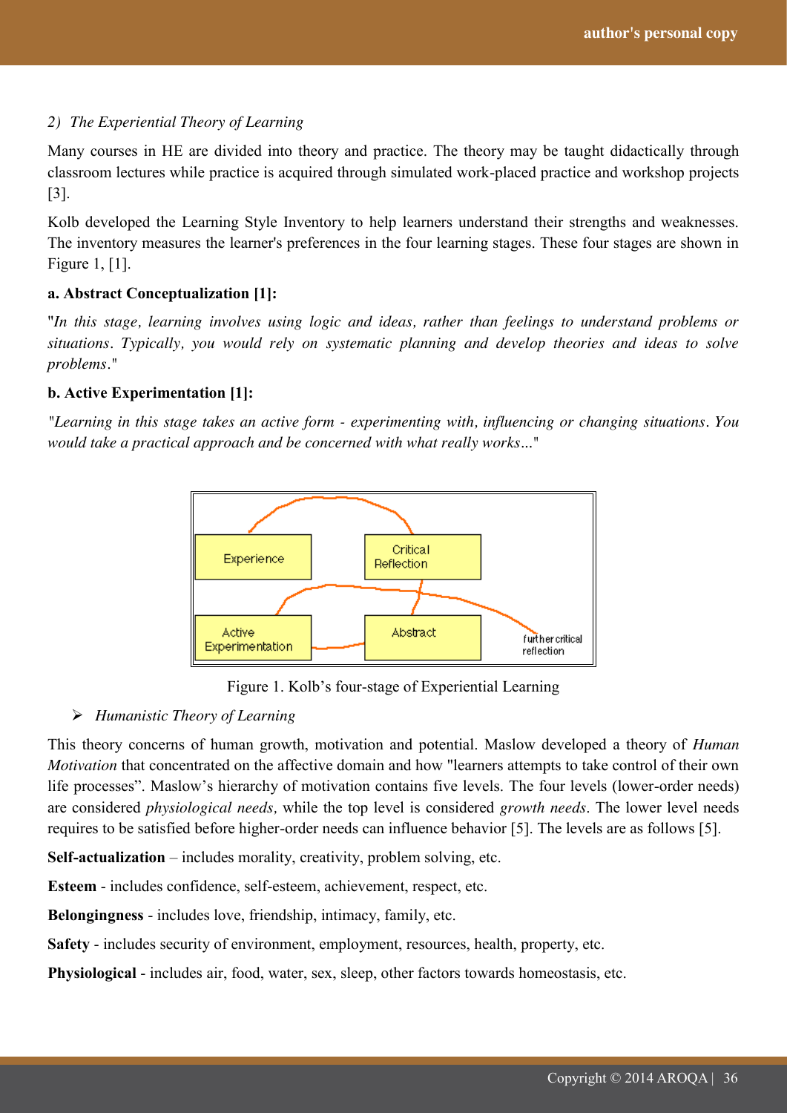#### *2) The Experiential Theory of Learning*

Many courses in HE are divided into theory and practice. The theory may be taught didactically through classroom lectures while practice is acquired through simulated work-placed practice and workshop projects [3].

Kolb developed the Learning Style Inventory to help learners understand their strengths and weaknesses. The inventory measures the learner's preferences in the four learning stages. These four stages are shown in Figure 1, [1].

#### **a. Abstract Conceptualization [1]:**

"*In this stage, learning involves using logic and ideas, rather than feelings to understand problems or situations. Typically, you would rely on systematic planning and develop theories and ideas to solve problems."*

#### **b. Active Experimentation [1]:**

*"Learning in this stage takes an active form - experimenting with, influencing or changing situations. You would take a practical approach and be concerned with what really works..."* 



Figure 1. Kolb"s four-stage of Experiential Learning

#### *Humanistic Theory of Learning*

This theory concerns of human growth, motivation and potential. Maslow developed a theory of *Human Motivation* that concentrated on the affective domain and how "learners attempts to take control of their own life processes". Maslow"s hierarchy of motivation contains five levels. The four levels (lower-order needs) are considered *physiological needs,* while the top level is considered *growth needs*. The lower level needs requires to be satisfied before higher-order needs can influence behavior [5]. The levels are as follows [5].

**Self-actualization** – includes morality, creativity, problem solving, etc.

**Esteem** - includes confidence, self-esteem, achievement, respect, etc.

**Belongingness** - includes love, friendship, intimacy, family, etc.

**Safety** - includes security of environment, employment, resources, health, property, etc.

**Physiological** - includes air, food, water, sex, sleep, other factors towards homeostasis, etc.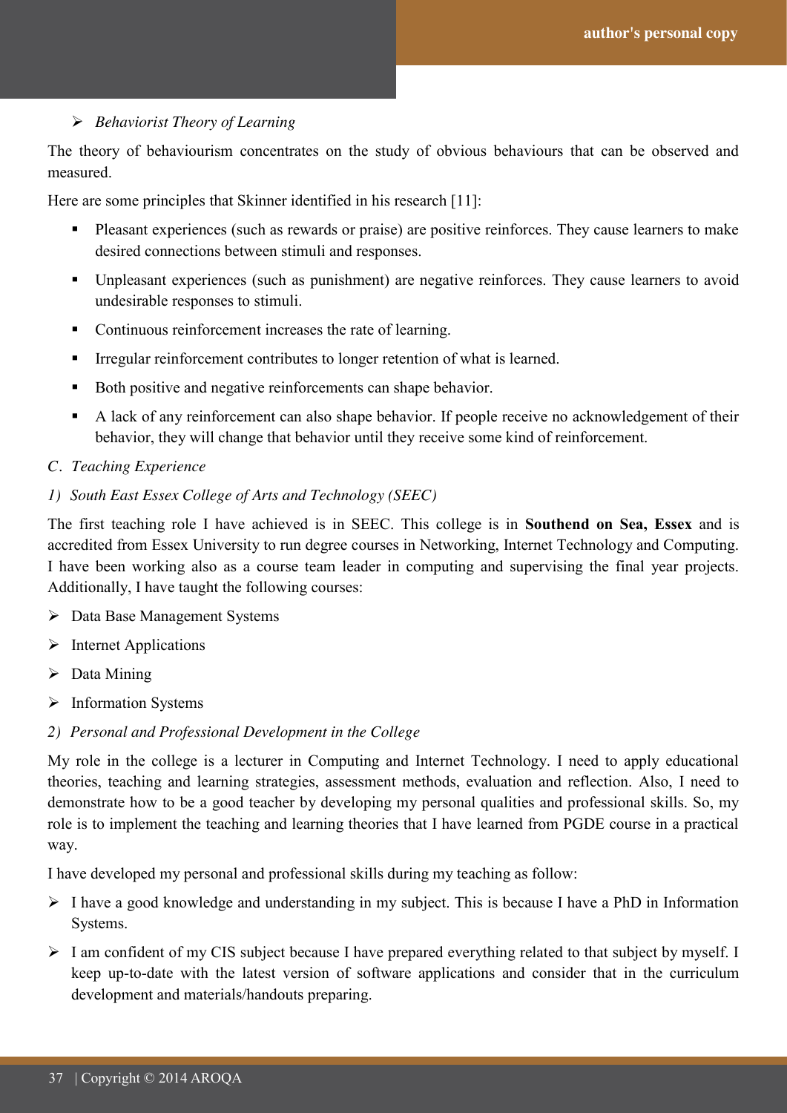40<br>40

#### *Behaviorist Theory of Learning*

The theory of behaviourism concentrates on the study of obvious behaviours that can be observed and measured.

Here are some principles that Skinner identified in his research [11]:

- Pleasant experiences (such as rewards or praise) are positive reinforces. They cause learners to make desired connections between stimuli and responses.
- Unpleasant experiences (such as punishment) are negative reinforces. They cause learners to avoid undesirable responses to stimuli.
- Continuous reinforcement increases the rate of learning.
- Irregular reinforcement contributes to longer retention of what is learned.
- Both positive and negative reinforcements can shape behavior.
- A lack of any reinforcement can also shape behavior. If people receive no acknowledgement of their behavior, they will change that behavior until they receive some kind of reinforcement.

#### *C. Teaching Experience*

#### *1) South East Essex College of Arts and Technology (SEEC)*

The first teaching role I have achieved is in SEEC. This college is in **Southend on Sea, Essex** and is accredited from Essex University to run degree courses in Networking, Internet Technology and Computing. I have been working also as a course team leader in computing and supervising the final year projects. Additionally, I have taught the following courses:

- Data Base Management Systems
- $\triangleright$  Internet Applications
- $\triangleright$  Data Mining
- $\triangleright$  Information Systems
- *2) Personal and Professional Development in the College*

My role in the college is a lecturer in Computing and Internet Technology. I need to apply educational theories, teaching and learning strategies, assessment methods, evaluation and reflection. Also, I need to demonstrate how to be a good teacher by developing my personal qualities and professional skills. So, my role is to implement the teaching and learning theories that I have learned from PGDE course in a practical way.

I have developed my personal and professional skills during my teaching as follow:

- $\triangleright$  I have a good knowledge and understanding in my subject. This is because I have a PhD in Information Systems.
- $\triangleright$  I am confident of my CIS subject because I have prepared everything related to that subject by myself. I keep up-to-date with the latest version of software applications and consider that in the curriculum development and materials/handouts preparing.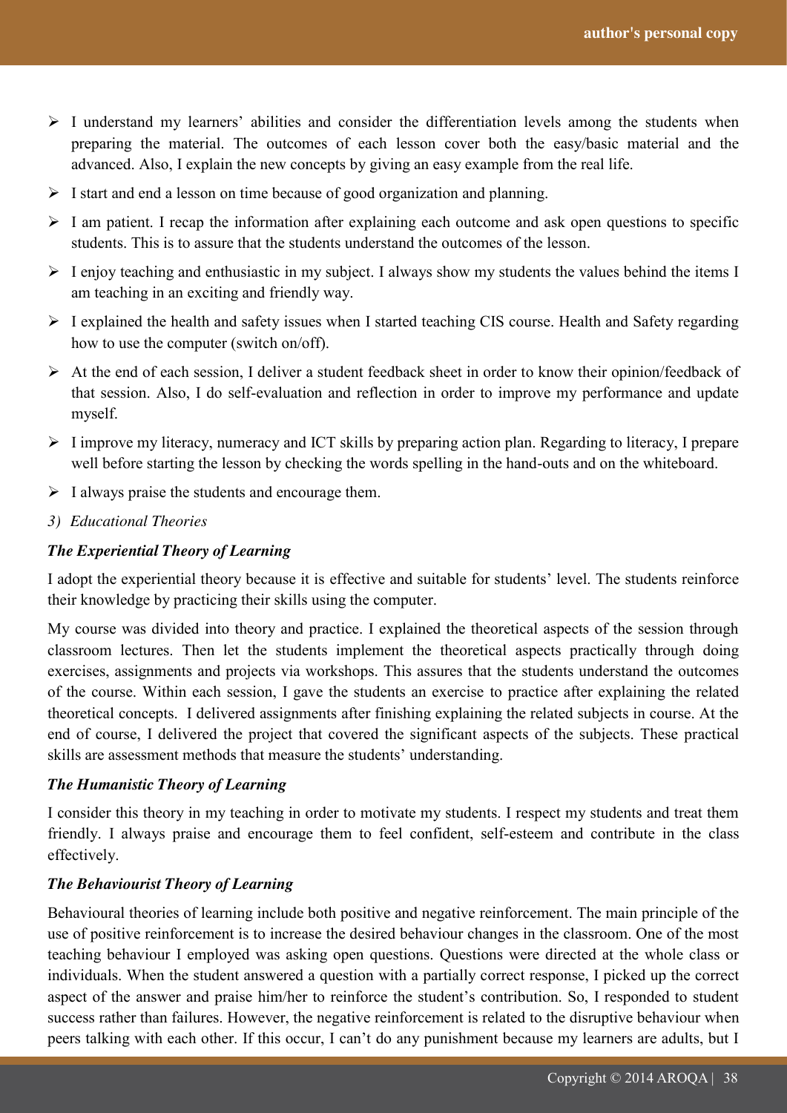41<br>41

- $\triangleright$  I understand my learners' abilities and consider the differentiation levels among the students when preparing the material. The outcomes of each lesson cover both the easy/basic material and the advanced. Also, I explain the new concepts by giving an easy example from the real life.
- $\triangleright$  I start and end a lesson on time because of good organization and planning.
- $\triangleright$  I am patient. I recap the information after explaining each outcome and ask open questions to specific students. This is to assure that the students understand the outcomes of the lesson.
- $\triangleright$  I enjoy teaching and enthusiastic in my subject. I always show my students the values behind the items I am teaching in an exciting and friendly way.
- $\triangleright$  I explained the health and safety issues when I started teaching CIS course. Health and Safety regarding how to use the computer (switch on/off).
- $\triangleright$  At the end of each session, I deliver a student feedback sheet in order to know their opinion/feedback of that session. Also, I do self-evaluation and reflection in order to improve my performance and update myself.
- $\triangleright$  I improve my literacy, numeracy and ICT skills by preparing action plan. Regarding to literacy, I prepare well before starting the lesson by checking the words spelling in the hand-outs and on the whiteboard.
- $\triangleright$  I always praise the students and encourage them.
- *3) Educational Theories*

## *The Experiential Theory of Learning*

I adopt the experiential theory because it is effective and suitable for students" level. The students reinforce their knowledge by practicing their skills using the computer.

My course was divided into theory and practice. I explained the theoretical aspects of the session through classroom lectures. Then let the students implement the theoretical aspects practically through doing exercises, assignments and projects via workshops. This assures that the students understand the outcomes of the course. Within each session, I gave the students an exercise to practice after explaining the related theoretical concepts. I delivered assignments after finishing explaining the related subjects in course. At the end of course, I delivered the project that covered the significant aspects of the subjects. These practical skills are assessment methods that measure the students' understanding.

#### *The Humanistic Theory of Learning*

I consider this theory in my teaching in order to motivate my students. I respect my students and treat them friendly. I always praise and encourage them to feel confident, self-esteem and contribute in the class effectively.

#### *The Behaviourist Theory of Learning*

Behavioural theories of learning include both positive and negative reinforcement. The main principle of the use of positive reinforcement is to increase the desired behaviour changes in the classroom. One of the most teaching behaviour I employed was asking open questions. Questions were directed at the whole class or individuals. When the student answered a question with a partially correct response, I picked up the correct aspect of the answer and praise him/her to reinforce the student"s contribution. So, I responded to student success rather than failures. However, the negative reinforcement is related to the disruptive behaviour when peers talking with each other. If this occur, I can"t do any punishment because my learners are adults, but I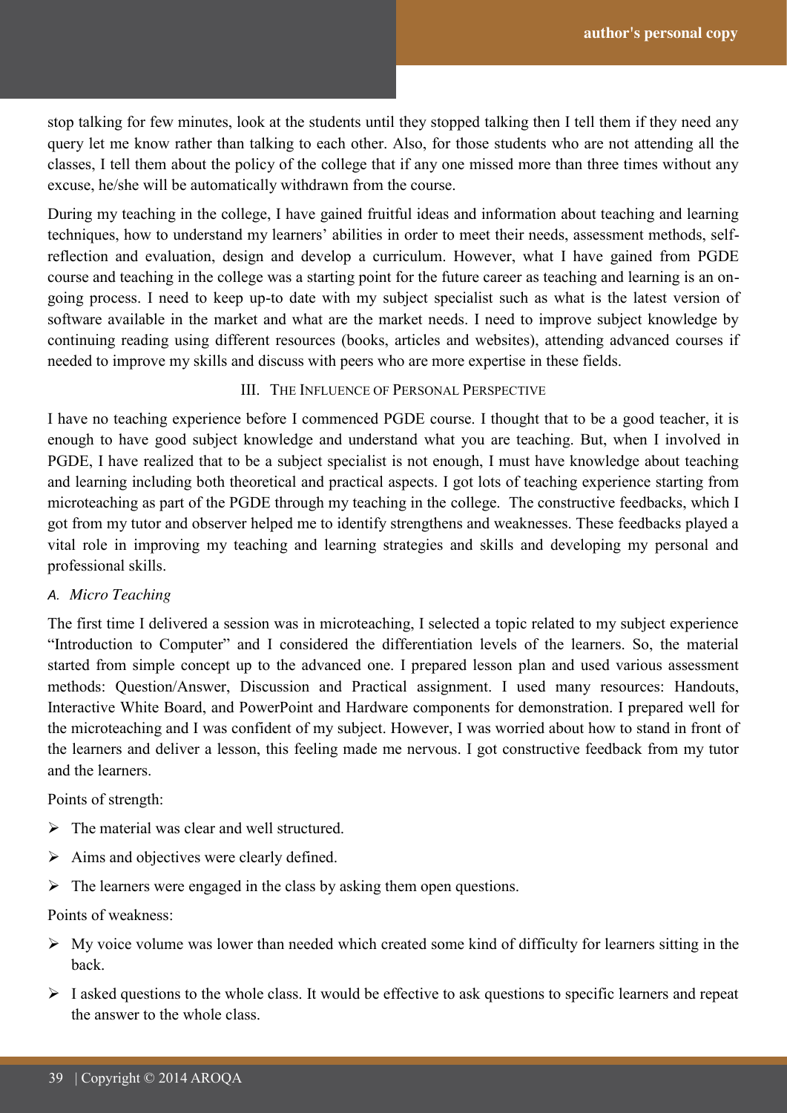stop talking for few minutes, look at the students until they stopped talking then I tell them if they need any query let me know rather than talking to each other. Also, for those students who are not attending all the classes, I tell them about the policy of the college that if any one missed more than three times without any excuse, he/she will be automatically withdrawn from the course.

During my teaching in the college, I have gained fruitful ideas and information about teaching and learning techniques, how to understand my learners' abilities in order to meet their needs, assessment methods, selfreflection and evaluation, design and develop a curriculum. However, what I have gained from PGDE course and teaching in the college was a starting point for the future career as teaching and learning is an ongoing process. I need to keep up-to date with my subject specialist such as what is the latest version of software available in the market and what are the market needs. I need to improve subject knowledge by continuing reading using different resources (books, articles and websites), attending advanced courses if needed to improve my skills and discuss with peers who are more expertise in these fields.

#### III. THE INFLUENCE OF PERSONAL PERSPECTIVE

I have no teaching experience before I commenced PGDE course. I thought that to be a good teacher, it is enough to have good subject knowledge and understand what you are teaching. But, when I involved in PGDE, I have realized that to be a subject specialist is not enough, I must have knowledge about teaching and learning including both theoretical and practical aspects. I got lots of teaching experience starting from microteaching as part of the PGDE through my teaching in the college. The constructive feedbacks, which I got from my tutor and observer helped me to identify strengthens and weaknesses. These feedbacks played a vital role in improving my teaching and learning strategies and skills and developing my personal and professional skills.

#### *A. Micro Teaching*

The first time I delivered a session was in microteaching, I selected a topic related to my subject experience "Introduction to Computer" and I considered the differentiation levels of the learners. So, the material started from simple concept up to the advanced one. I prepared lesson plan and used various assessment methods: Question/Answer, Discussion and Practical assignment. I used many resources: Handouts, Interactive White Board, and PowerPoint and Hardware components for demonstration. I prepared well for the microteaching and I was confident of my subject. However, I was worried about how to stand in front of the learners and deliver a lesson, this feeling made me nervous. I got constructive feedback from my tutor and the learners.

#### Points of strength:

- $\triangleright$  The material was clear and well structured.
- $\triangleright$  Aims and objectives were clearly defined.
- $\triangleright$  The learners were engaged in the class by asking them open questions.

#### Points of weakness:

- $\triangleright$  My voice volume was lower than needed which created some kind of difficulty for learners sitting in the back.
- $\triangleright$  I asked questions to the whole class. It would be effective to ask questions to specific learners and repeat the answer to the whole class.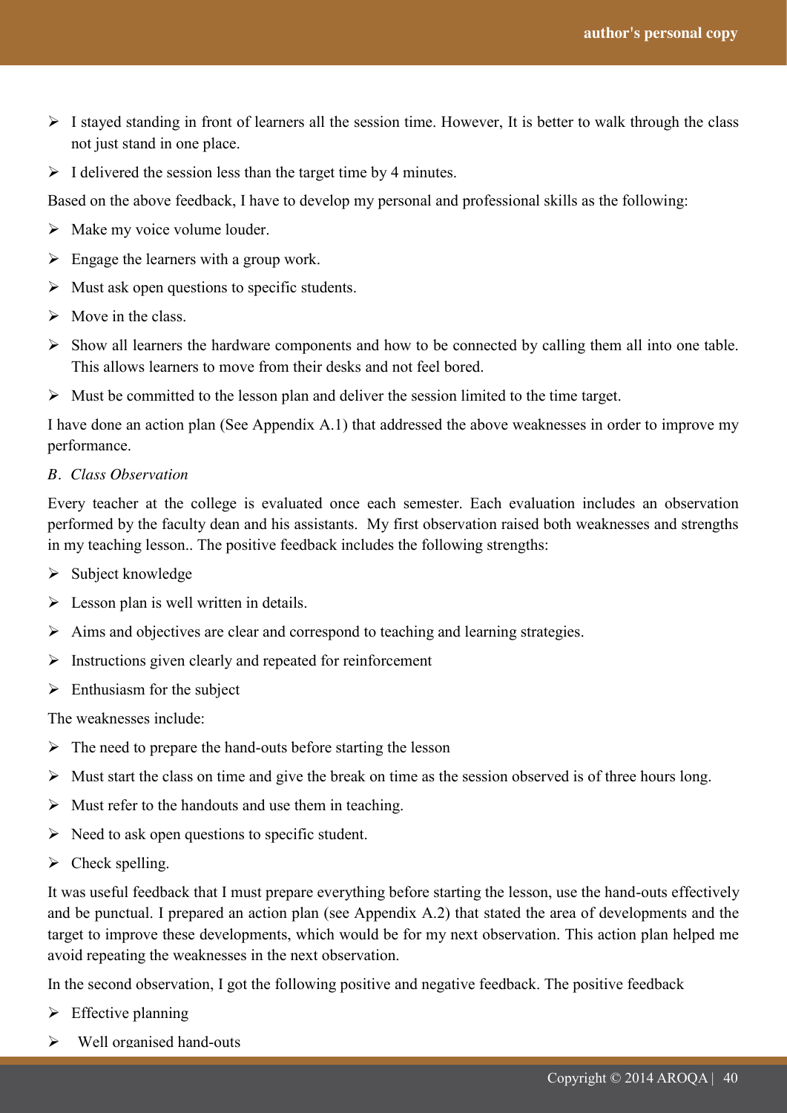- $\triangleright$  I stayed standing in front of learners all the session time. However, It is better to walk through the class not just stand in one place.
- $\triangleright$  I delivered the session less than the target time by 4 minutes.

Based on the above feedback, I have to develop my personal and professional skills as the following:

- $\triangleright$  Make my voice volume louder.
- $\triangleright$  Engage the learners with a group work.
- $\triangleright$  Must ask open questions to specific students.
- $\triangleright$  Move in the class.
- $\triangleright$  Show all learners the hardware components and how to be connected by calling them all into one table. This allows learners to move from their desks and not feel bored.
- $\triangleright$  Must be committed to the lesson plan and deliver the session limited to the time target.

I have done an action plan (See Appendix A.1) that addressed the above weaknesses in order to improve my performance.

*B. Class Observation*

Every teacher at the college is evaluated once each semester. Each evaluation includes an observation performed by the faculty dean and his assistants. My first observation raised both weaknesses and strengths in my teaching lesson.. The positive feedback includes the following strengths:

- $\triangleright$  Subject knowledge
- $\triangleright$  Lesson plan is well written in details.
- $\triangleright$  Aims and objectives are clear and correspond to teaching and learning strategies.
- $\triangleright$  Instructions given clearly and repeated for reinforcement
- $\triangleright$  Enthusiasm for the subject

The weaknesses include:

- $\triangleright$  The need to prepare the hand-outs before starting the lesson
- $\triangleright$  Must start the class on time and give the break on time as the session observed is of three hours long.
- $\triangleright$  Must refer to the handouts and use them in teaching.
- $\triangleright$  Need to ask open questions to specific student.
- $\triangleright$  Check spelling.

It was useful feedback that I must prepare everything before starting the lesson, use the hand-outs effectively and be punctual. I prepared an action plan (see Appendix A.2) that stated the area of developments and the target to improve these developments, which would be for my next observation. This action plan helped me avoid repeating the weaknesses in the next observation.

In the second observation, I got the following positive and negative feedback. The positive feedback

- $\triangleright$  Effective planning
- $\triangleright$  Well organised hand-outs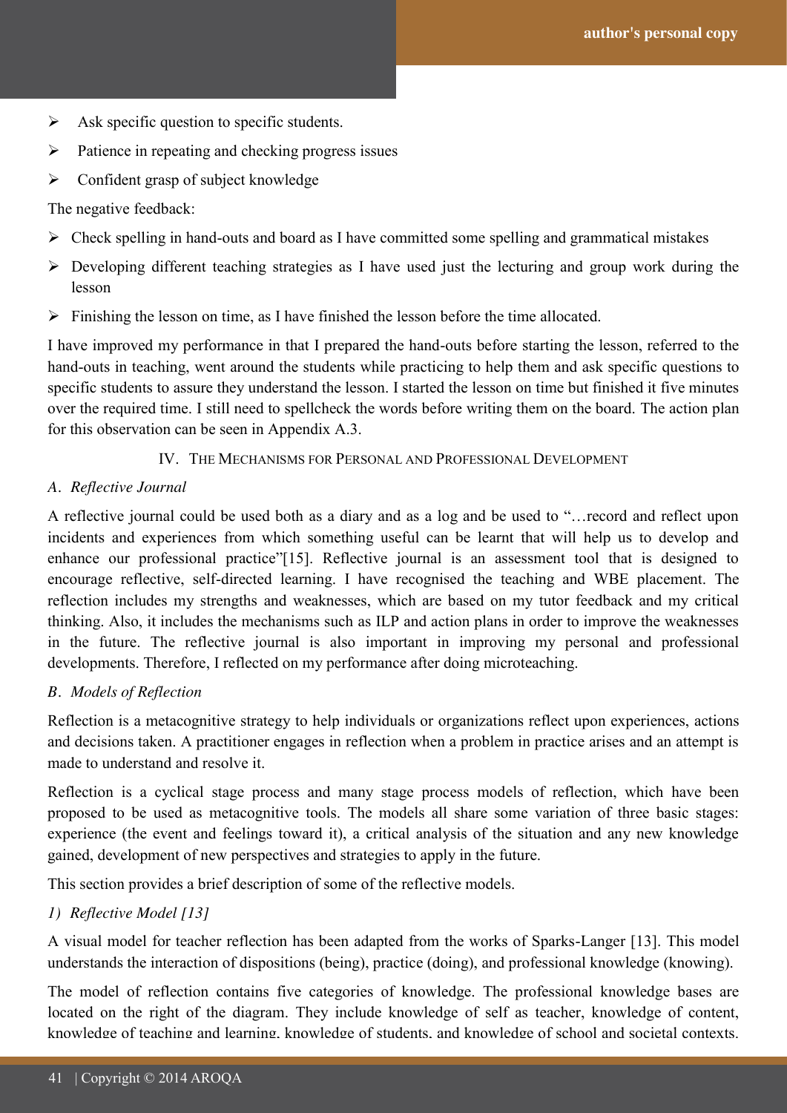- $\triangleright$  Ask specific question to specific students.
- $\triangleright$  Patience in repeating and checking progress issues
- $\triangleright$  Confident grasp of subject knowledge

The negative feedback:

- $\triangleright$  Check spelling in hand-outs and board as I have committed some spelling and grammatical mistakes
- Developing different teaching strategies as I have used just the lecturing and group work during the lesson
- $\triangleright$  Finishing the lesson on time, as I have finished the lesson before the time allocated.

I have improved my performance in that I prepared the hand-outs before starting the lesson, referred to the hand-outs in teaching, went around the students while practicing to help them and ask specific questions to specific students to assure they understand the lesson. I started the lesson on time but finished it five minutes over the required time. I still need to spellcheck the words before writing them on the board. The action plan for this observation can be seen in Appendix A.3.

#### IV. THE MECHANISMS FOR PERSONAL AND PROFESSIONAL DEVELOPMENT

#### *A. Reflective Journal*

A reflective journal could be used both as a diary and as a log and be used to "…record and reflect upon incidents and experiences from which something useful can be learnt that will help us to develop and enhance our professional practice"[15]. Reflective journal is an assessment tool that is designed to encourage reflective, self-directed learning. I have recognised the teaching and WBE placement. The reflection includes my strengths and weaknesses, which are based on my tutor feedback and my critical thinking. Also, it includes the mechanisms such as ILP and action plans in order to improve the weaknesses in the future. The reflective journal is also important in improving my personal and professional developments. Therefore, I reflected on my performance after doing microteaching.

## *B. Models of Reflection*

Reflection is a metacognitive strategy to help individuals or organizations reflect upon experiences, actions and decisions taken. A practitioner engages in reflection when a problem in practice arises and an attempt is made to understand and resolve it.

Reflection is a cyclical stage process and many stage process models of reflection, which have been proposed to be used as metacognitive tools. The models all share some variation of three basic stages: experience (the event and feelings toward it), a critical analysis of the situation and any new knowledge gained, development of new perspectives and strategies to apply in the future.

This section provides a brief description of some of the reflective models.

#### *1) Reflective Model [13]*

A visual model for teacher reflection has been adapted from the works of Sparks-Langer [13]. This model understands the interaction of dispositions (being), practice (doing), and professional knowledge (knowing).

The model of reflection contains five categories of knowledge. The professional knowledge bases are located on the right of the diagram. They include knowledge of self as teacher, knowledge of content, knowledge of teaching and learning, knowledge of students, and knowledge of school and societal contexts.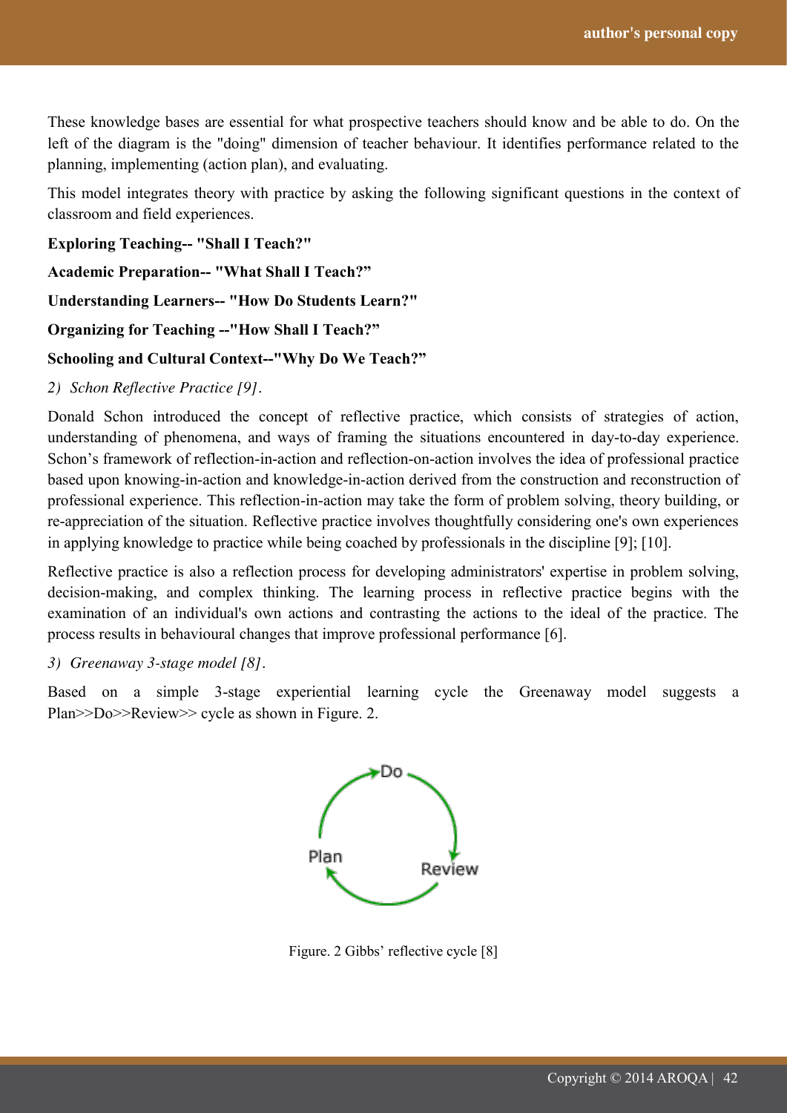These knowledge bases are essential for what prospective teachers should know and be able to do. On the left of the diagram is the "doing" dimension of teacher behaviour. It identifies performance related to the planning, implementing (action plan), and evaluating.

This model integrates theory with practice by asking the following significant questions in the context of classroom and field experiences.

**Exploring Teaching-- "Shall I Teach?"** 

**Academic Preparation-- "What Shall I Teach?‖**

**Understanding Learners-- "How Do Students Learn?"**

**Organizing for Teaching --"How Shall I Teach?"** 

#### **Schooling and Cultural Context--"Why Do We Teach?‖**

*2) Schon Reflective Practice [9].* 

Donald Schon introduced the concept of reflective practice, which consists of strategies of action, understanding of phenomena, and ways of framing the situations encountered in day-to-day experience. Schon"s framework of reflection-in-action and reflection-on-action involves the idea of professional practice based upon knowing-in-action and knowledge-in-action derived from the construction and reconstruction of professional experience. This reflection-in-action may take the form of problem solving, theory building, or re-appreciation of the situation. Reflective practice involves thoughtfully considering one's own experiences in applying knowledge to practice while being coached by professionals in the discipline [9]; [10].

Reflective practice is also a reflection process for developing administrators' expertise in problem solving, decision-making, and complex thinking. The learning process in reflective practice begins with the examination of an individual's own actions and contrasting the actions to the ideal of the practice. The process results in behavioural changes that improve professional performance [6].

*3) Greenaway 3-stage model [8].*

Based on a simple 3-stage experiential learning cycle the Greenaway model suggests a Plan>>Do>>Review>> cycle as shown in Figure. 2.



Figure. 2 Gibbs' reflective cycle [8]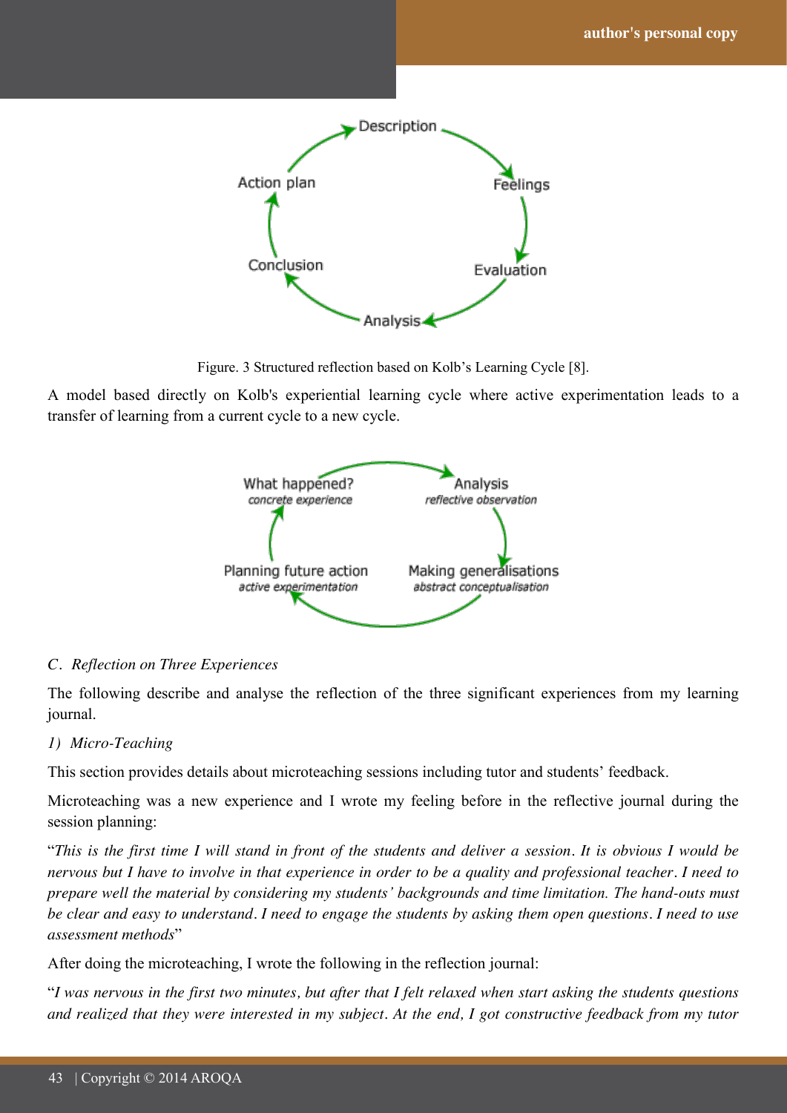

Figure. 3 Structured reflection based on Kolb"s Learning Cycle [8].

A model based directly on Kolb's experiential learning cycle where active experimentation leads to a transfer of learning from a current cycle to a new cycle.



## *C. Reflection on Three Experiences*

The following describe and analyse the reflection of the three significant experiences from my learning journal.

#### *1) Micro-Teaching*

This section provides details about microteaching sessions including tutor and students' feedback.

Microteaching was a new experience and I wrote my feeling before in the reflective journal during the session planning:

"*This is the first time I will stand in front of the students and deliver a session. It is obvious I would be nervous but I have to involve in that experience in order to be a quality and professional teacher. I need to prepare well the material by considering my students' backgrounds and time limitation. The hand-outs must be clear and easy to understand. I need to engage the students by asking them open questions. I need to use assessment methods*"

After doing the microteaching, I wrote the following in the reflection journal:

"*I was nervous in the first two minutes, but after that I felt relaxed when start asking the students questions and realized that they were interested in my subject. At the end, I got constructive feedback from my tutor*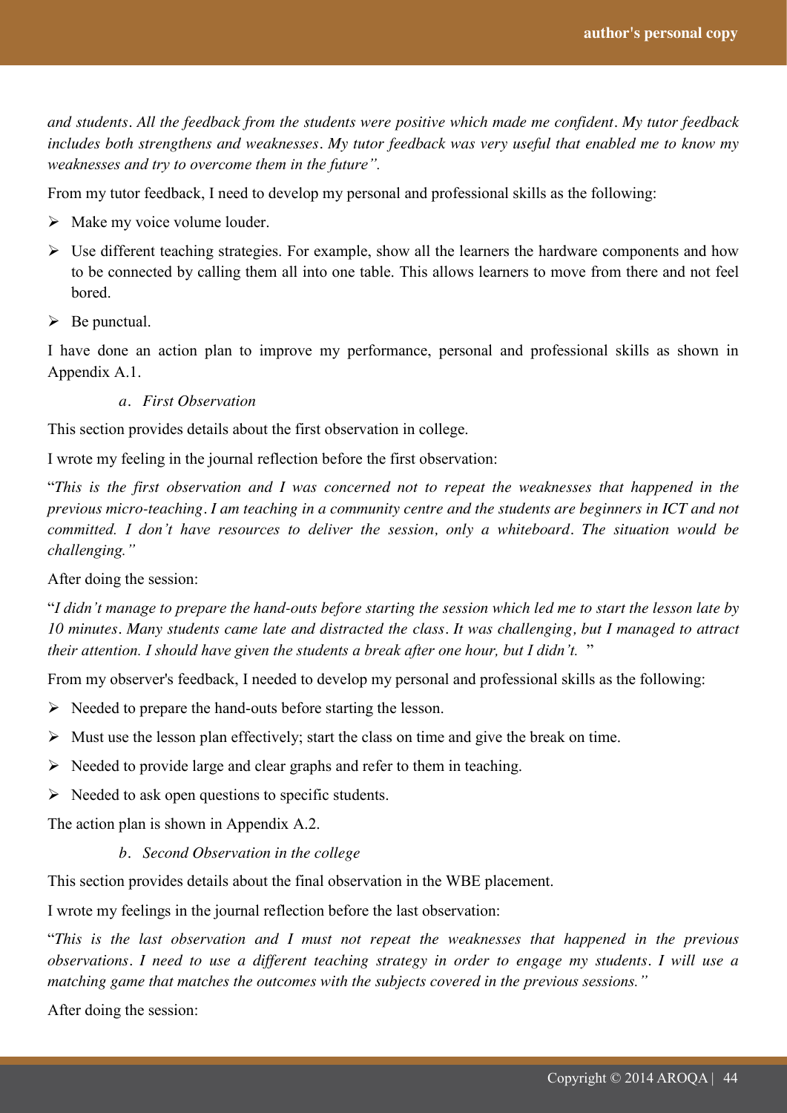*and students. All the feedback from the students were positive which made me confident. My tutor feedback includes both strengthens and weaknesses. My tutor feedback was very useful that enabled me to know my weaknesses and try to overcome them in the future".* 

From my tutor feedback, I need to develop my personal and professional skills as the following:

- $\triangleright$  Make my voice volume louder.
- $\triangleright$  Use different teaching strategies. For example, show all the learners the hardware components and how to be connected by calling them all into one table. This allows learners to move from there and not feel **bored**
- $\triangleright$  Be punctual.

I have done an action plan to improve my performance, personal and professional skills as shown in Appendix A.1.

*a. First Observation* 

This section provides details about the first observation in college.

I wrote my feeling in the journal reflection before the first observation:

"*This is the first observation and I was concerned not to repeat the weaknesses that happened in the previous micro-teaching. I am teaching in a community centre and the students are beginners in ICT and not committed. I don't have resources to deliver the session, only a whiteboard. The situation would be challenging."*

After doing the session:

"*I didn't manage to prepare the hand-outs before starting the session which led me to start the lesson late by 10 minutes. Many students came late and distracted the class. It was challenging, but I managed to attract their attention. I should have given the students a break after one hour, but I didn't.* "

From my observer's feedback, I needed to develop my personal and professional skills as the following:

- $\triangleright$  Needed to prepare the hand-outs before starting the lesson.
- $\triangleright$  Must use the lesson plan effectively; start the class on time and give the break on time.
- $\triangleright$  Needed to provide large and clear graphs and refer to them in teaching.
- $\triangleright$  Needed to ask open questions to specific students.

The action plan is shown in Appendix A.2.

#### *b. Second Observation in the college*

This section provides details about the final observation in the WBE placement.

I wrote my feelings in the journal reflection before the last observation:

"*This is the last observation and I must not repeat the weaknesses that happened in the previous observations. I need to use a different teaching strategy in order to engage my students. I will use a matching game that matches the outcomes with the subjects covered in the previous sessions."*

After doing the session: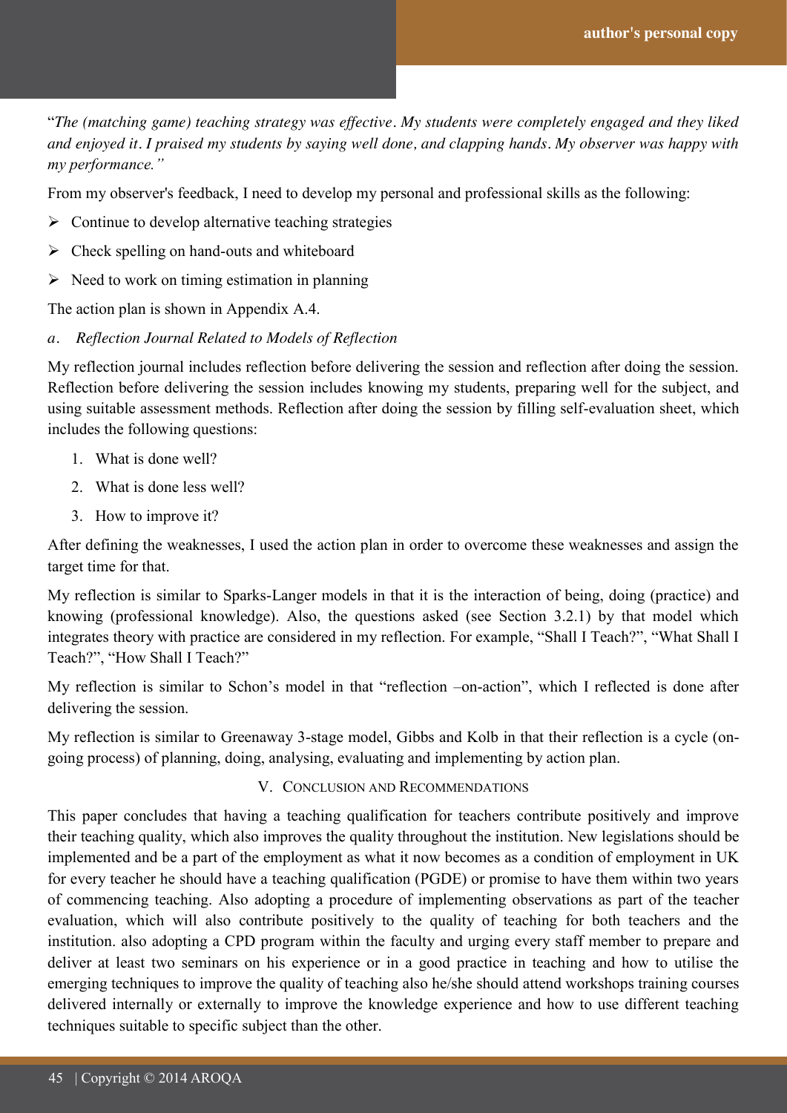"*The (matching game) teaching strategy was effective. My students were completely engaged and they liked and enjoyed it. I praised my students by saying well done, and clapping hands. My observer was happy with my performance."*

From my observer's feedback, I need to develop my personal and professional skills as the following:

- $\triangleright$  Continue to develop alternative teaching strategies
- $\triangleright$  Check spelling on hand-outs and whiteboard
- $\triangleright$  Need to work on timing estimation in planning

The action plan is shown in Appendix A.4.

*a. Reflection Journal Related to Models of Reflection*

My reflection journal includes reflection before delivering the session and reflection after doing the session. Reflection before delivering the session includes knowing my students, preparing well for the subject, and using suitable assessment methods. Reflection after doing the session by filling self-evaluation sheet, which includes the following questions:

- 1. What is done well?
- 2. What is done less well?
- 3. How to improve it?

After defining the weaknesses, I used the action plan in order to overcome these weaknesses and assign the target time for that.

My reflection is similar to Sparks-Langer models in that it is the interaction of being, doing (practice) and knowing (professional knowledge). Also, the questions asked (see Section 3.2.1) by that model which integrates theory with practice are considered in my reflection. For example, "Shall I Teach?", "What Shall I Teach?", "How Shall I Teach?"

My reflection is similar to Schon"s model in that "reflection –on-action", which I reflected is done after delivering the session.

My reflection is similar to Greenaway 3-stage model, Gibbs and Kolb in that their reflection is a cycle (ongoing process) of planning, doing, analysing, evaluating and implementing by action plan.

#### V. CONCLUSION AND RECOMMENDATIONS

This paper concludes that having a teaching qualification for teachers contribute positively and improve their teaching quality, which also improves the quality throughout the institution. New legislations should be implemented and be a part of the employment as what it now becomes as a condition of employment in UK for every teacher he should have a teaching qualification (PGDE) or promise to have them within two years of commencing teaching. Also adopting a procedure of implementing observations as part of the teacher evaluation, which will also contribute positively to the quality of teaching for both teachers and the institution. also adopting a CPD program within the faculty and urging every staff member to prepare and deliver at least two seminars on his experience or in a good practice in teaching and how to utilise the emerging techniques to improve the quality of teaching also he/she should attend workshops training courses delivered internally or externally to improve the knowledge experience and how to use different teaching techniques suitable to specific subject than the other.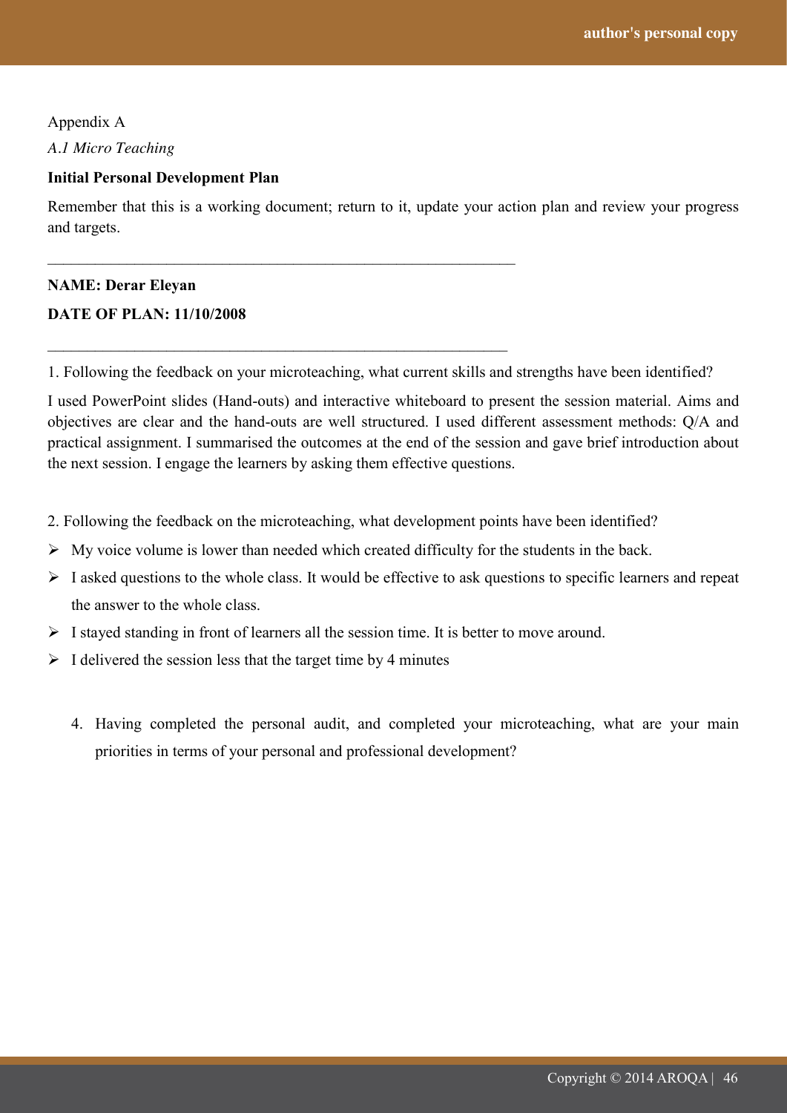49<br>49<br>49

Appendix A *A.1 Micro Teaching*

#### **Initial Personal Development Plan**

Remember that this is a working document; return to it, update your action plan and review your progress and targets.

#### **NAME: Derar Eleyan**

#### **DATE OF PLAN: 11/10/2008**

1. Following the feedback on your microteaching, what current skills and strengths have been identified?

I used PowerPoint slides (Hand-outs) and interactive whiteboard to present the session material. Aims and objectives are clear and the hand-outs are well structured. I used different assessment methods: Q/A and practical assignment. I summarised the outcomes at the end of the session and gave brief introduction about the next session. I engage the learners by asking them effective questions.

- 2. Following the feedback on the microteaching, what development points have been identified?
- $\triangleright$  My voice volume is lower than needed which created difficulty for the students in the back.
- $\triangleright$  I asked questions to the whole class. It would be effective to ask questions to specific learners and repeat the answer to the whole class.
- $\triangleright$  I stayed standing in front of learners all the session time. It is better to move around.
- $\triangleright$  I delivered the session less that the target time by 4 minutes

\_\_\_\_\_\_\_\_\_\_\_\_\_\_\_\_\_\_\_\_\_\_\_\_\_\_\_\_\_\_\_\_\_\_\_\_\_\_\_\_\_\_\_\_\_\_\_\_\_\_\_\_\_\_\_\_\_\_\_

\_\_\_\_\_\_\_\_\_\_\_\_\_\_\_\_\_\_\_\_\_\_\_\_\_\_\_\_\_\_\_\_\_\_\_\_\_\_\_\_\_\_\_\_\_\_\_\_\_\_\_\_\_\_\_\_\_\_

4. Having completed the personal audit, and completed your microteaching, what are your main priorities in terms of your personal and professional development?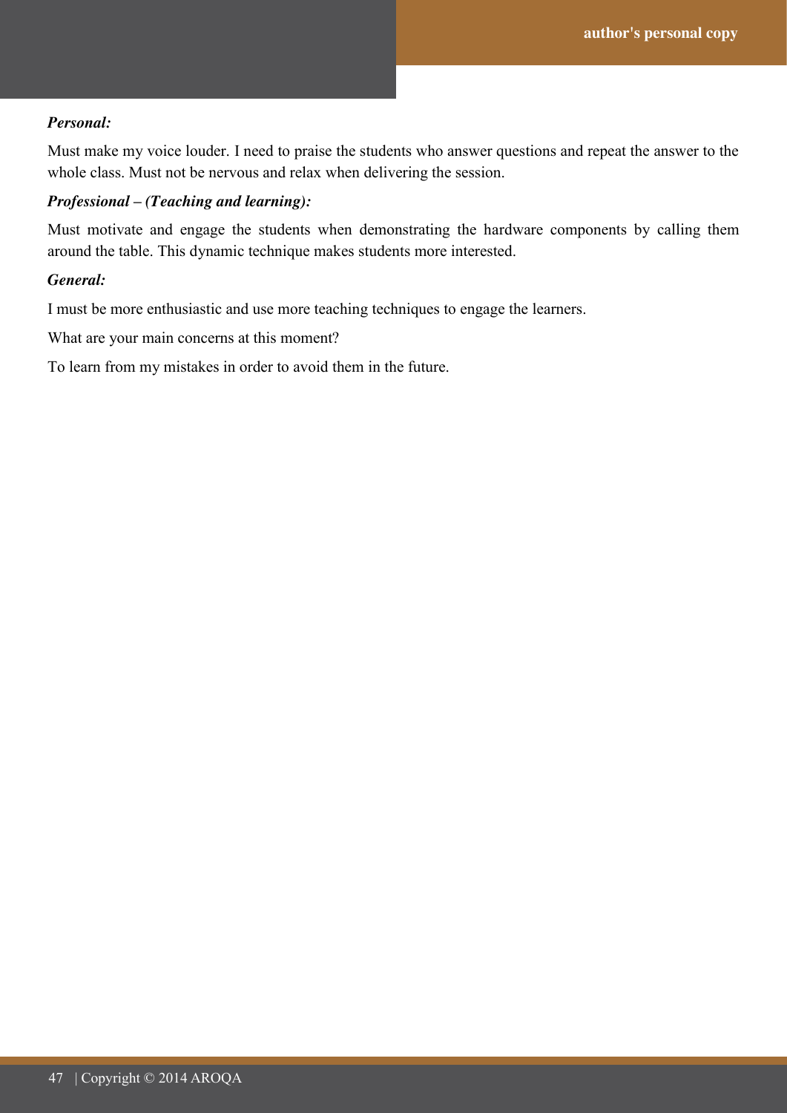#### *Personal:*

Must make my voice louder. I need to praise the students who answer questions and repeat the answer to the whole class. Must not be nervous and relax when delivering the session.

#### *Professional – (Teaching and learning):*

Must motivate and engage the students when demonstrating the hardware components by calling them around the table. This dynamic technique makes students more interested.

#### *General:*

I must be more enthusiastic and use more teaching techniques to engage the learners.

What are your main concerns at this moment?

To learn from my mistakes in order to avoid them in the future.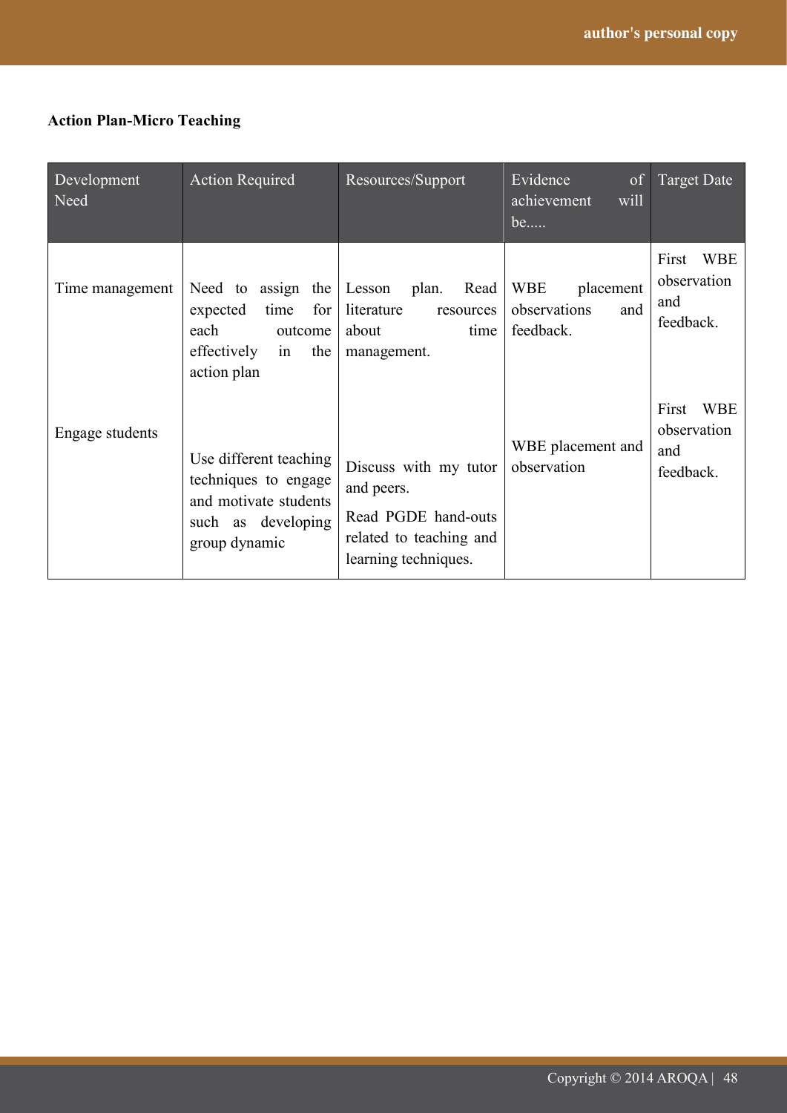## **Action Plan-Micro Teaching**

| Development<br>Need | <b>Action Required</b>                                                                                                   | Resources/Support                                                                                             | Evidence<br>of<br>achievement<br>will<br>be                 | Target Date                                            |
|---------------------|--------------------------------------------------------------------------------------------------------------------------|---------------------------------------------------------------------------------------------------------------|-------------------------------------------------------------|--------------------------------------------------------|
| Time management     | Need to assign the Lesson plan.<br>for<br>time<br>expected<br>each<br>outcome<br>effectively<br>the<br>1n<br>action plan | Read I<br>literature<br>resources<br>about<br>time<br>management.                                             | <b>WBE</b><br>placement<br>observations<br>and<br>feedback. | <b>WBE</b><br>First<br>observation<br>and<br>feedback. |
| Engage students     | Use different teaching<br>techniques to engage<br>and motivate students<br>such as developing<br>group dynamic           | Discuss with my tutor<br>and peers.<br>Read PGDE hand-outs<br>related to teaching and<br>learning techniques. | WBE placement and<br>observation                            | First<br><b>WBE</b><br>observation<br>and<br>feedback. |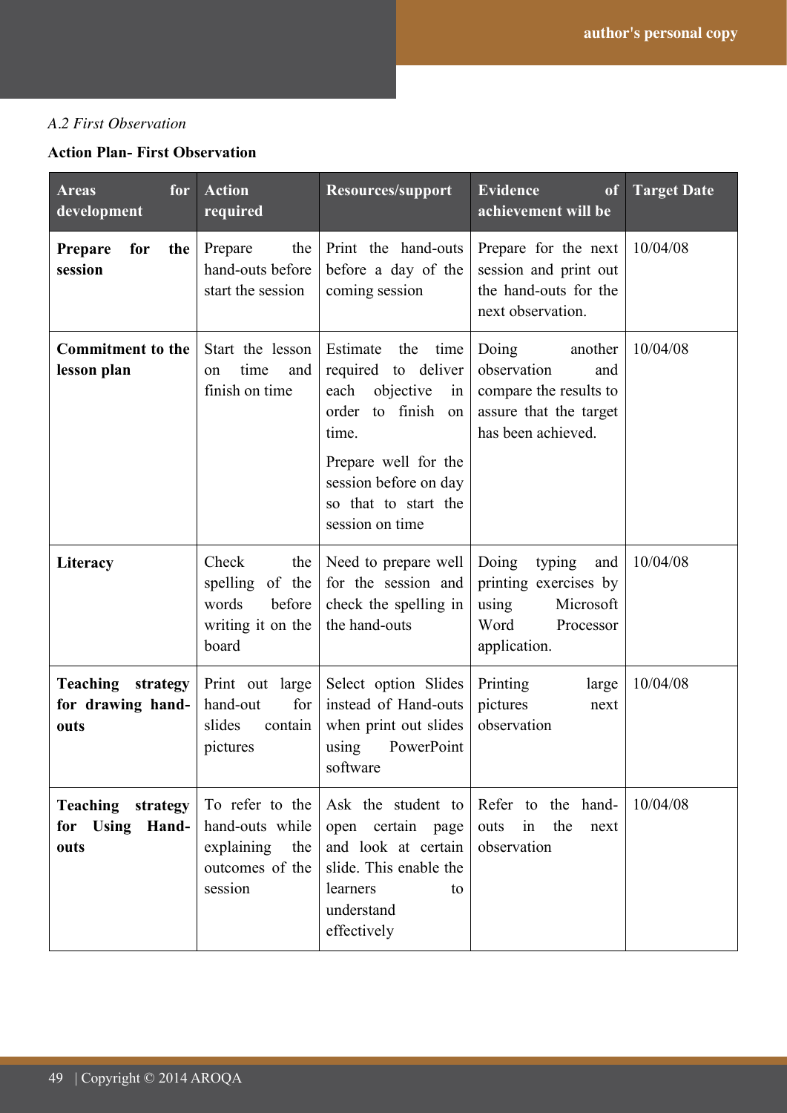## *A.2 First Observation*

## **Action Plan- First Observation**

| <b>Areas</b><br>for<br>development                    | <b>Action</b><br>required                                                             | Resources/support                                                                                                                                                                                          | <b>Evidence</b><br>of<br>achievement will be                                                                     | <b>Target Date</b> |
|-------------------------------------------------------|---------------------------------------------------------------------------------------|------------------------------------------------------------------------------------------------------------------------------------------------------------------------------------------------------------|------------------------------------------------------------------------------------------------------------------|--------------------|
| <b>Prepare</b><br>for<br>the<br>session               | Prepare<br>the<br>hand-outs before<br>start the session                               | Print the hand-outs<br>before a day of the<br>coming session                                                                                                                                               | Prepare for the next<br>session and print out<br>the hand-outs for the<br>next observation.                      | 10/04/08           |
| <b>Commitment to the</b><br>lesson plan               | Start the lesson<br>time<br>and<br>on<br>finish on time                               | Estimate<br>the<br>time<br>required to deliver<br>each<br>objective<br>in<br>to finish<br>order<br>on<br>time.<br>Prepare well for the<br>session before on day<br>so that to start the<br>session on time | Doing<br>another<br>observation<br>and<br>compare the results to<br>assure that the target<br>has been achieved. | 10/04/08           |
| Literacy                                              | Check<br>the<br>spelling of the<br>before<br>words<br>writing it on the<br>board      | Need to prepare well<br>for the session and<br>check the spelling in<br>the hand-outs                                                                                                                      | Doing<br>typing<br>and<br>printing exercises by<br>Microsoft<br>using<br>Word<br>Processor<br>application.       | 10/04/08           |
| <b>Teaching</b> strategy<br>for drawing hand-<br>outs | Print out large<br>for<br>hand-out<br>slides<br>contain<br>pictures                   | Select option Slides<br>instead of Hand-outs<br>when print out slides<br>PowerPoint<br>using<br>software                                                                                                   | Printing<br>large<br>pictures<br>next<br>observation                                                             | 10/04/08           |
| <b>Teaching strategy</b><br>for Using Hand-<br>outs   | To refer to the<br>hand-outs while<br>explaining<br>the<br>outcomes of the<br>session | open certain page<br>and look at certain<br>slide. This enable the<br>learners<br>to<br>understand<br>effectively                                                                                          | Ask the student to Refer to the hand-<br>the<br>outs<br>next<br>in<br>observation                                | 10/04/08           |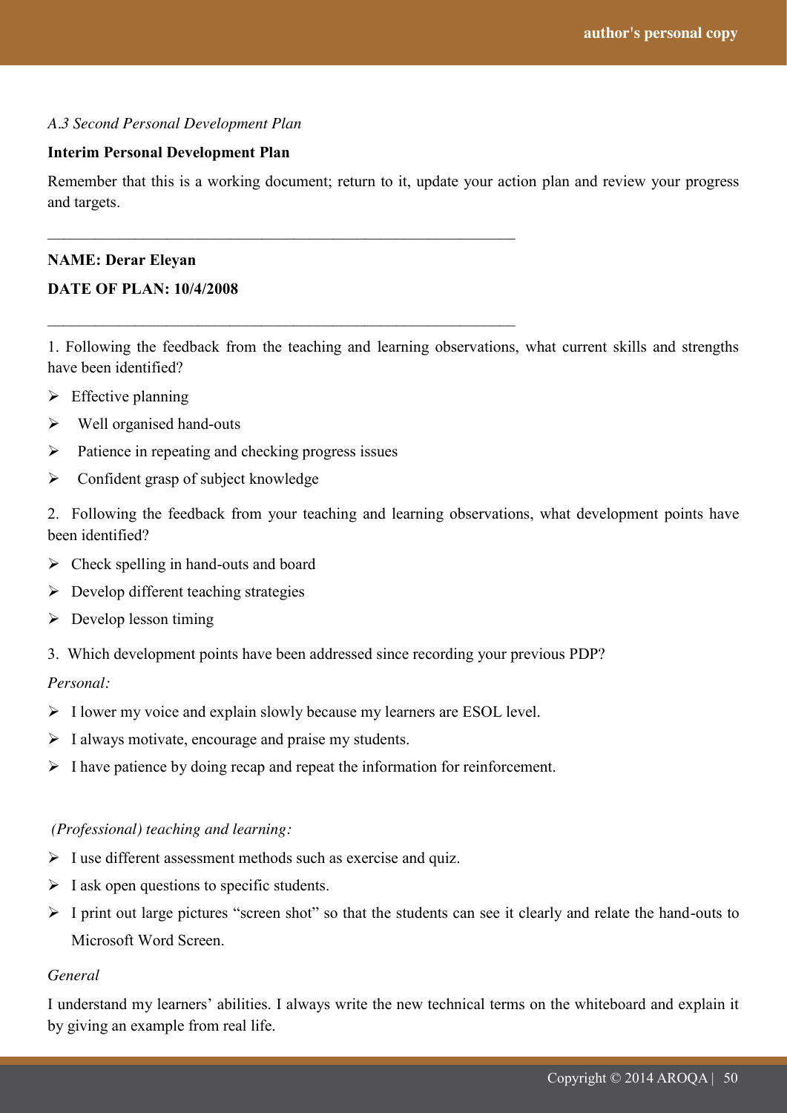#### *A.3 Second Personal Development Plan*

#### **Interim Personal Development Plan**

Remember that this is a working document; return to it, update your action plan and review your progress and targets.

#### **NAME: Derar Eleyan**

#### **DATE OF PLAN: 10/4/2008**

1. Following the feedback from the teaching and learning observations, what current skills and strengths have been identified?

- $\triangleright$  Effective planning
- $\triangleright$  Well organised hand-outs
- $\triangleright$  Patience in repeating and checking progress issues

\_\_\_\_\_\_\_\_\_\_\_\_\_\_\_\_\_\_\_\_\_\_\_\_\_\_\_\_\_\_\_\_\_\_\_\_\_\_\_\_\_\_\_\_\_\_\_\_\_\_\_\_\_\_\_\_\_\_\_

\_\_\_\_\_\_\_\_\_\_\_\_\_\_\_\_\_\_\_\_\_\_\_\_\_\_\_\_\_\_\_\_\_\_\_\_\_\_\_\_\_\_\_\_\_\_\_\_\_\_\_\_\_\_\_\_\_\_\_

 $\triangleright$  Confident grasp of subject knowledge

2. Following the feedback from your teaching and learning observations, what development points have been identified?

- $\triangleright$  Check spelling in hand-outs and board
- $\triangleright$  Develop different teaching strategies
- $\triangleright$  Develop lesson timing
- 3. Which development points have been addressed since recording your previous PDP?

#### *Personal:*

- $\triangleright$  I lower my voice and explain slowly because my learners are ESOL level.
- $\triangleright$  I always motivate, encourage and praise my students.
- $\triangleright$  I have patience by doing recap and repeat the information for reinforcement.

#### *(Professional) teaching and learning:*

- $\triangleright$  I use different assessment methods such as exercise and quiz.
- $\triangleright$  I ask open questions to specific students.
- $\triangleright$  I print out large pictures "screen shot" so that the students can see it clearly and relate the hand-outs to Microsoft Word Screen.

#### *General*

I understand my learners" abilities. I always write the new technical terms on the whiteboard and explain it by giving an example from real life.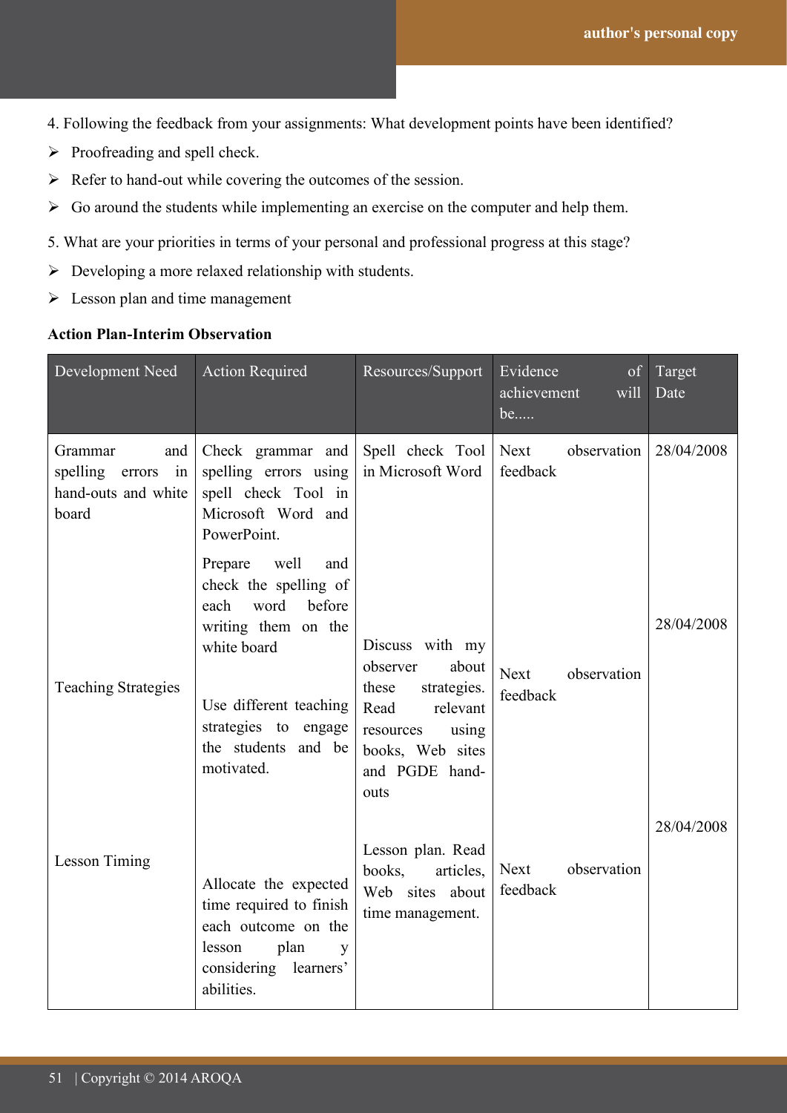- 4. Following the feedback from your assignments: What development points have been identified?
- $\triangleright$  Proofreading and spell check.
- $\triangleright$  Refer to hand-out while covering the outcomes of the session.
- $\triangleright$  Go around the students while implementing an exercise on the computer and help them.
- 5. What are your priorities in terms of your personal and professional progress at this stage?
- $\triangleright$  Developing a more relaxed relationship with students.
- $\triangleright$  Lesson plan and time management

## **Action Plan-Interim Observation**

| Development Need                                                           | <b>Action Required</b>                                                                                                                                                                                 | Resources/Support                                                                                                                                    | Evidence<br>of<br>achievement<br>will<br>be | Target<br>Date |
|----------------------------------------------------------------------------|--------------------------------------------------------------------------------------------------------------------------------------------------------------------------------------------------------|------------------------------------------------------------------------------------------------------------------------------------------------------|---------------------------------------------|----------------|
| Grammar<br>and<br>spelling<br>in<br>errors<br>hand-outs and white<br>board | Check grammar and<br>spelling errors using<br>spell check Tool in<br>Microsoft Word and<br>PowerPoint.                                                                                                 | Spell check Tool<br>in Microsoft Word                                                                                                                | Next<br>observation<br>feedback             | 28/04/2008     |
| <b>Teaching Strategies</b>                                                 | well<br>Prepare<br>and<br>check the spelling of<br>word<br>before<br>each<br>writing them on the<br>white board<br>Use different teaching<br>strategies to engage<br>the students and be<br>motivated. | Discuss with my<br>observer<br>about<br>these<br>strategies.<br>Read<br>relevant<br>resources<br>using<br>books, Web sites<br>and PGDE hand-<br>outs | Next<br>observation<br>feedback             | 28/04/2008     |
| Lesson Timing                                                              | Allocate the expected<br>time required to finish<br>each outcome on the<br>plan<br>lesson<br>y<br>considering<br>learners'<br>abilities.                                                               | Lesson plan. Read<br>books,<br>articles,<br>Web sites about<br>time management.                                                                      | Next<br>observation<br>feedback             | 28/04/2008     |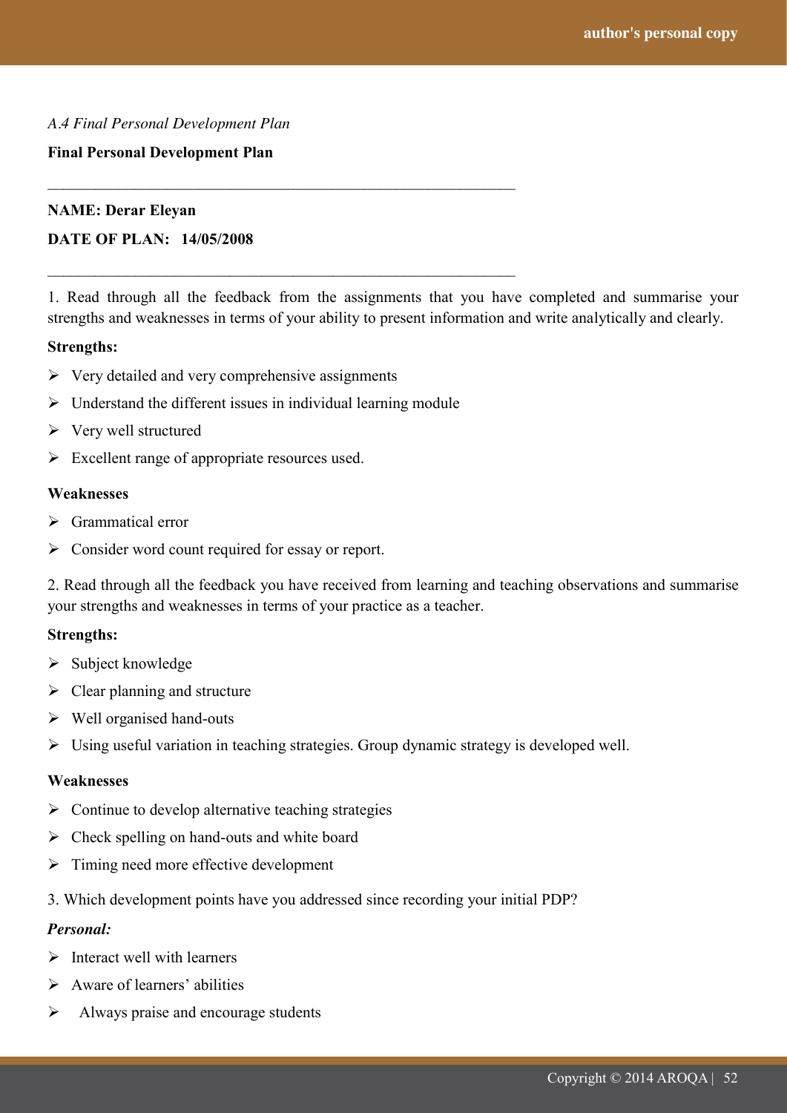#### *A.4 Final Personal Development Plan*

#### **Final Personal Development Plan**

#### **NAME: Derar Eleyan**

## **DATE OF PLAN: 14/05/2008**

1. Read through all the feedback from the assignments that you have completed and summarise your strengths and weaknesses in terms of your ability to present information and write analytically and clearly.

#### **Strengths:**

- $\triangleright$  Very detailed and very comprehensive assignments
- $\triangleright$  Understand the different issues in individual learning module

\_\_\_\_\_\_\_\_\_\_\_\_\_\_\_\_\_\_\_\_\_\_\_\_\_\_\_\_\_\_\_\_\_\_\_\_\_\_\_\_\_\_\_\_\_\_\_\_\_\_\_\_\_\_\_\_\_\_\_

\_\_\_\_\_\_\_\_\_\_\_\_\_\_\_\_\_\_\_\_\_\_\_\_\_\_\_\_\_\_\_\_\_\_\_\_\_\_\_\_\_\_\_\_\_\_\_\_\_\_\_\_\_\_\_\_\_\_\_

- $\triangleright$  Very well structured
- $\triangleright$  Excellent range of appropriate resources used.

#### **Weaknesses**

- $\triangleright$  Grammatical error
- $\triangleright$  Consider word count required for essay or report.

2. Read through all the feedback you have received from learning and teaching observations and summarise your strengths and weaknesses in terms of your practice as a teacher.

#### **Strengths:**

- $\triangleright$  Subject knowledge
- $\triangleright$  Clear planning and structure
- $\triangleright$  Well organised hand-outs
- Using useful variation in teaching strategies. Group dynamic strategy is developed well.

#### **Weaknesses**

- $\triangleright$  Continue to develop alternative teaching strategies
- $\triangleright$  Check spelling on hand-outs and white board
- $\triangleright$  Timing need more effective development
- 3. Which development points have you addressed since recording your initial PDP?

#### *Personal:*

- $\triangleright$  Interact well with learners
- $\triangleright$  Aware of learners' abilities
- Always praise and encourage students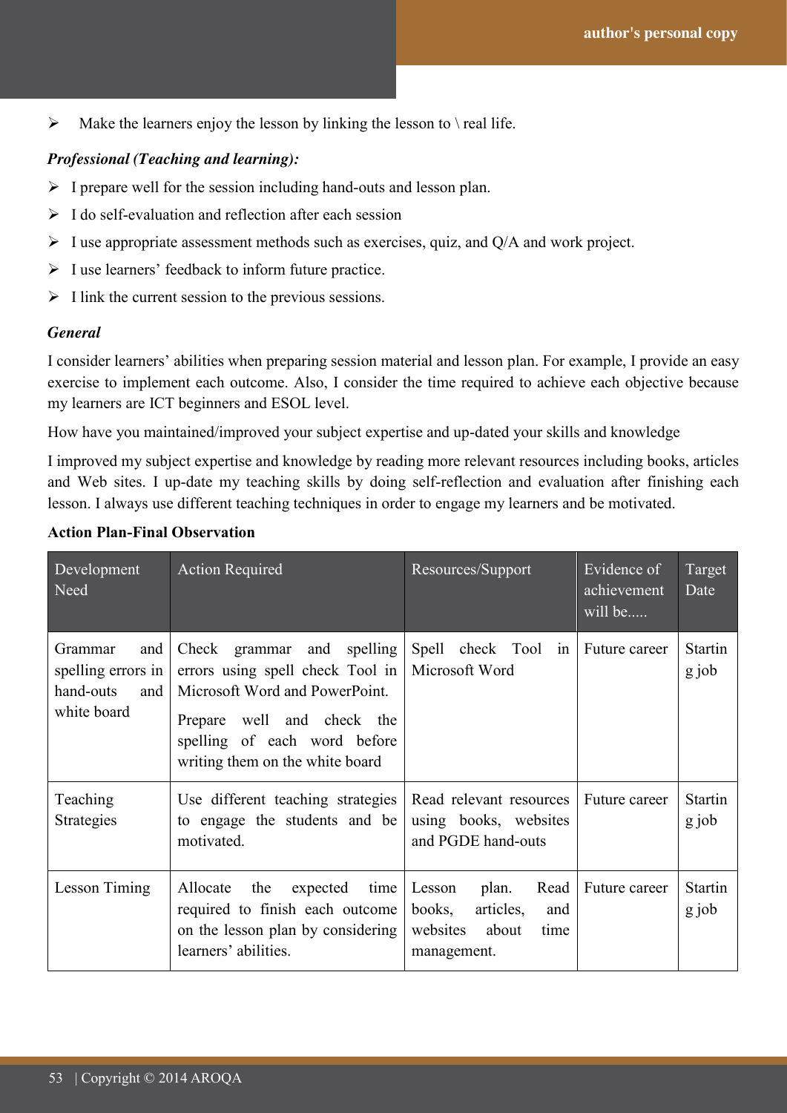$\triangleright$  Make the learners enjoy the lesson by linking the lesson to \ real life.

## *Professional (Teaching and learning):*

- $\triangleright$  I prepare well for the session including hand-outs and lesson plan.
- $\triangleright$  I do self-evaluation and reflection after each session
- $\triangleright$  I use appropriate assessment methods such as exercises, quiz, and Q/A and work project.
- $\triangleright$  I use learners' feedback to inform future practice.
- $\triangleright$  I link the current session to the previous sessions.

#### *General*

I consider learners" abilities when preparing session material and lesson plan. For example, I provide an easy exercise to implement each outcome. Also, I consider the time required to achieve each objective because my learners are ICT beginners and ESOL level.

How have you maintained/improved your subject expertise and up-dated your skills and knowledge

I improved my subject expertise and knowledge by reading more relevant resources including books, articles and Web sites. I up-date my teaching skills by doing self-reflection and evaluation after finishing each lesson. I always use different teaching techniques in order to engage my learners and be motivated.

| Development<br>Need                                                     | <b>Action Required</b>                                                                                                                                                                            | Resources/Support                                                                                 | Evidence of<br>achievement<br>will be | Target<br>Date          |
|-------------------------------------------------------------------------|---------------------------------------------------------------------------------------------------------------------------------------------------------------------------------------------------|---------------------------------------------------------------------------------------------------|---------------------------------------|-------------------------|
| Grammar<br>and<br>spelling errors in<br>hand-outs<br>and<br>white board | Check grammar and spelling<br>errors using spell check Tool in<br>Microsoft Word and PowerPoint.<br>Prepare well and check the<br>spelling of each word before<br>writing them on the white board | Spell check Tool in<br>Microsoft Word                                                             | Future career                         | <b>Startin</b><br>g job |
| Teaching<br><b>Strategies</b>                                           | Use different teaching strategies<br>to engage the students and be<br>motivated.                                                                                                                  | Read relevant resources<br>using books, websites<br>and PGDE hand-outs                            | Future career                         | <b>Startin</b><br>g job |
| Lesson Timing                                                           | Allocate<br>the<br>expected<br>time  <br>required to finish each outcome<br>on the lesson plan by considering<br>learners' abilities.                                                             | plan.<br>Read<br>Lesson<br>books,<br>articles,<br>and<br>websites<br>about<br>time<br>management. | Future career                         | <b>Startin</b><br>g job |

## **Action Plan-Final Observation**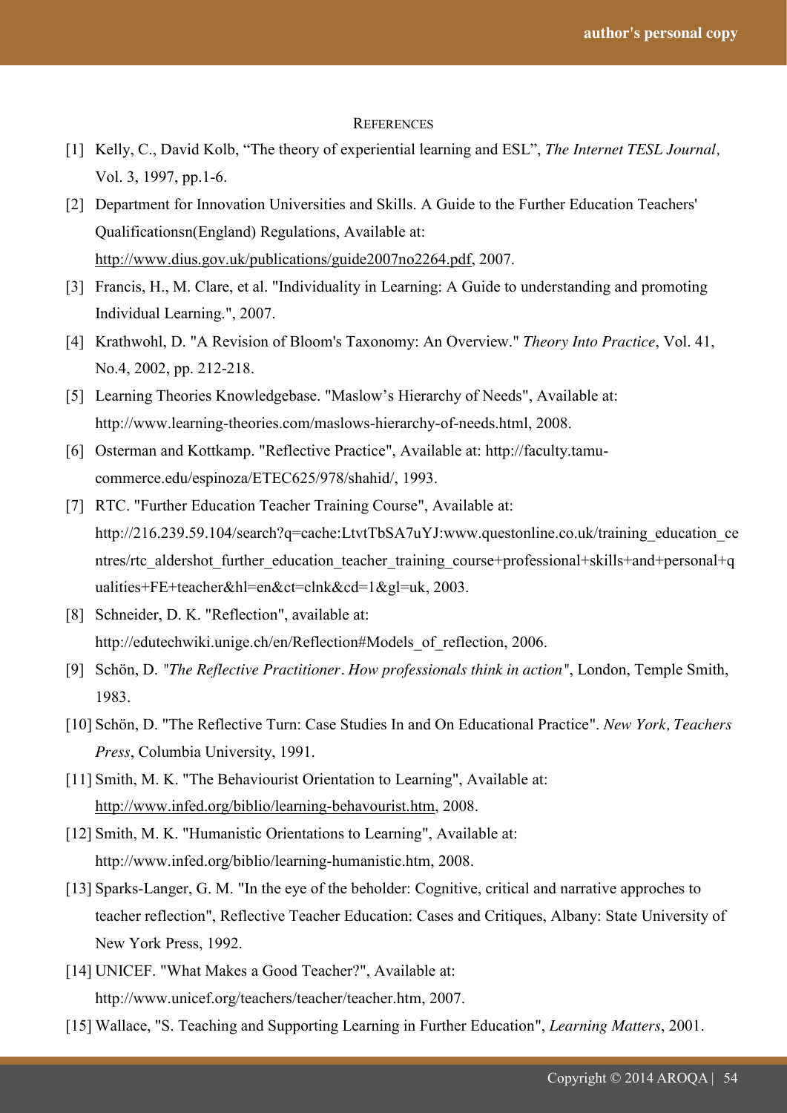#### **REFERENCES**

- [1] Kelly, C., David Kolb, "The theory of experiential learning and ESL", *The Internet TESL Journal*, Vol. 3, 1997, pp.1-6.
- [2] Department for Innovation Universities and Skills. A Guide to the Further Education Teachers' Qualificationsn(England) Regulations, Available at: http://www.dius.gov.uk/publications/guide2007no2264.pdf, 2007.
- [3] Francis, H., M. Clare, et al. "Individuality in Learning: A Guide to understanding and promoting Individual Learning.", 2007.
- [4] Krathwohl, D. "A Revision of Bloom's Taxonomy: An Overview." *Theory Into Practice*, Vol. 41, No.4, 2002, pp. 212-218.
- [5] Learning Theories Knowledgebase. "Maslow's Hierarchy of Needs", Available at: http://www.learning-theories.com/maslows-hierarchy-of-needs.html, 2008.
- [6] Osterman and Kottkamp. "Reflective Practice", Available at: http://faculty.tamucommerce.edu/espinoza/ETEC625/978/shahid/, 1993.
- [7] RTC. "Further Education Teacher Training Course", Available at: http://216.239.59.104/search?q=cache:LtvtTbSA7uYJ:www.questonline.co.uk/training\_education\_ce ntres/rtc\_aldershot\_further\_education\_teacher\_training\_course+professional+skills+and+personal+q ualities+FE+teacher&hl=en&ct=clnk&cd=1&gl=uk, 2003.
- [8] Schneider, D. K. "Reflection", available at: http://edutechwiki.unige.ch/en/Reflection#Models of reflection, 2006.
- [9] Schön, D. *"The Reflective Practitioner. How professionals think in action"*, London, Temple Smith, 1983.
- [10] Schön, D. "The Reflective Turn: Case Studies In and On Educational Practice". *New York, Teachers Press*, Columbia University, 1991.
- [11] Smith, M. K. "The Behaviourist Orientation to Learning", Available at: http://www.infed.org/biblio/learning-behavourist.htm, 2008.
- [12] Smith, M. K. "Humanistic Orientations to Learning", Available at: http://www.infed.org/biblio/learning-humanistic.htm, 2008.
- [13] Sparks-Langer, G. M. "In the eye of the beholder: Cognitive, critical and narrative approches to teacher reflection", Reflective Teacher Education: Cases and Critiques, Albany: State University of New York Press, 1992.
- [14] UNICEF. "What Makes a Good Teacher?", Available at: http://www.unicef.org/teachers/teacher/teacher.htm, 2007.
- [15] Wallace, "S. Teaching and Supporting Learning in Further Education", *Learning Matters*, 2001.